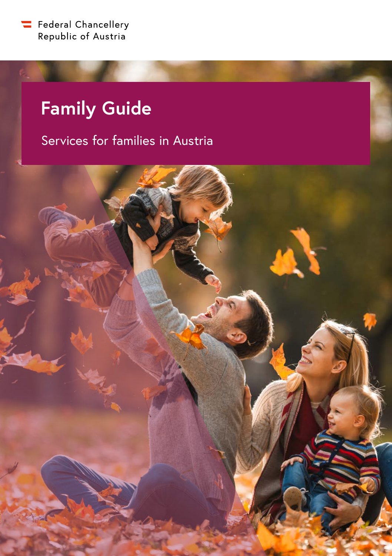

# **Family Guide**

# Services for families in Austria

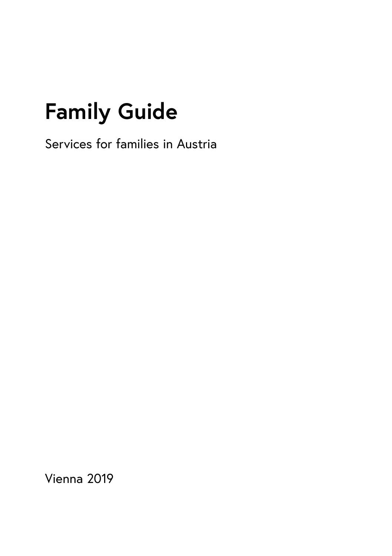# **Family Guide**

Services for families in Austria

Vienna 2019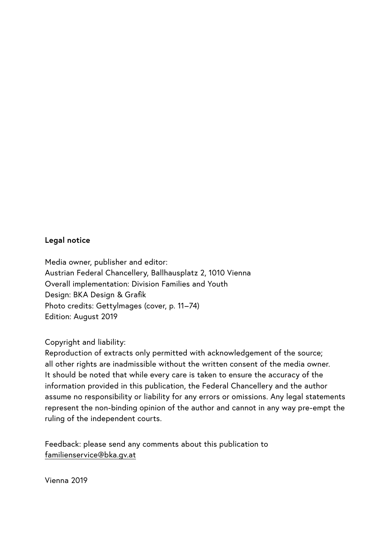#### **Legal notice**

Media owner, publisher and editor: Austrian Federal Chancellery, Ballhausplatz 2, 1010 Vienna Overall implementation: Division Families and Youth Design: BKA Design & Grafik Photo credits: Gettylmages (cover, p. 11–74) Edition: August 2019

Copyright and liability:

Reproduction of extracts only permitted with acknowledgement of the source; all other rights are inadmissible without the written consent of the media owner. It should be noted that while every care is taken to ensure the accuracy of the information provided in this publication, the Federal Chancellery and the author assume no responsibility or liability for any errors or omissions. Any legal statements represent the non-binding opinion of the author and cannot in any way pre-empt the ruling of the independent courts.

Feedback: please send any comments about this publication to [familienservice@bka.gv.at](mailto:familienservice@bka.gv.at?subject=)

Vienna 2019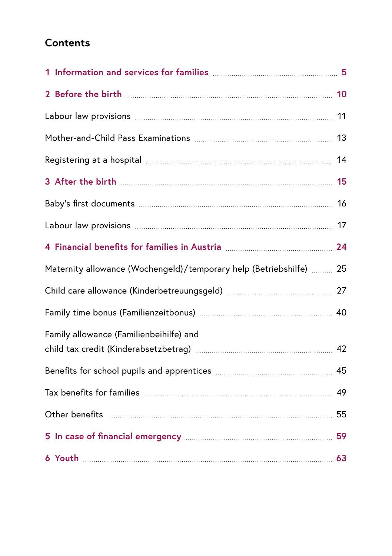# **Contents**

| 4 Financial benefits for families in Austria <b>Marting Marson Communist 24</b> |  |
|---------------------------------------------------------------------------------|--|
| Maternity allowance (Wochengeld)/temporary help (Betriebshilfe)  25             |  |
|                                                                                 |  |
|                                                                                 |  |
| Family allowance (Familienbeihilfe) and                                         |  |
|                                                                                 |  |
|                                                                                 |  |
|                                                                                 |  |
|                                                                                 |  |
|                                                                                 |  |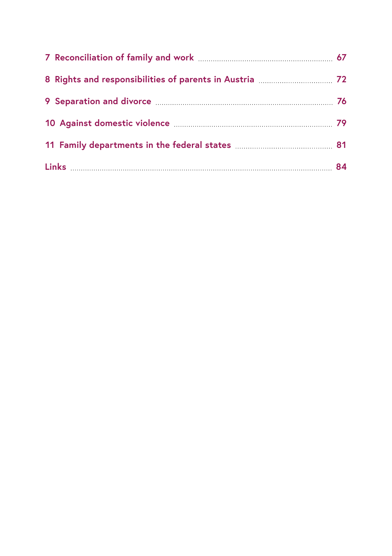| 10 Against domestic violence <b>manual community</b> and against 19 |  |
|---------------------------------------------------------------------|--|
|                                                                     |  |
|                                                                     |  |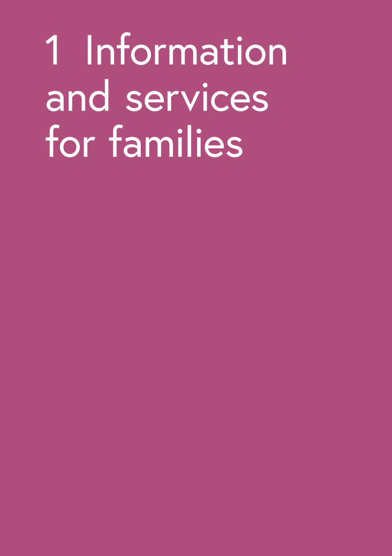<span id="page-6-0"></span>1 Information and services for families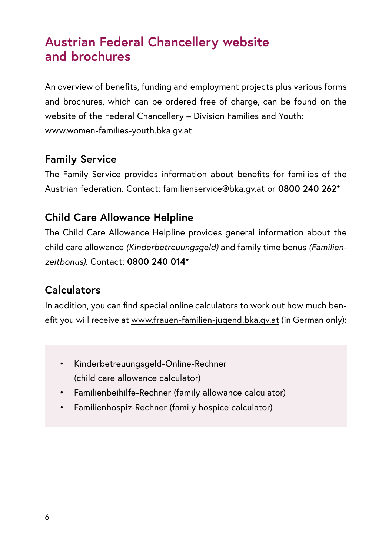# **Austrian Federal Chancellery website and brochures**

An overview of benefits, funding and employment projects plus various forms and brochures, which can be ordered free of charge, can be found on the website of the Federal Chancellery – Division Families and Youth: www.women-families-youth.bka.gv.at

# **Family Service**

The Family Service provides information about benefits for families of the Austrian federation. Contact: [familienservice@bka.gv.at](mailto:familienservice@bka.gv.at?subject=) or **0800 240 262**\*

# **Child Care Allowance Helpline**

The Child Care Allowance Helpline provides general information about the child care allowance *(Kinderbetreuungsgeld)* and family time bonus *(Familienzeitbonus)*. Contact: **0800 240 014**\*

#### **Calculators**

In addition, you can find special online calculators to work out how much benefit you will receive at [www.frauen-familien-jugend.bka.gv.at](http://www.frauen-familien-jugend.bka.gv.at) (in German only):

- Kinderbetreuungsgeld-Online-Rechner (child care allowance calculator)
- Familienbeihilfe-Rechner (family allowance calculator)
- Familienhospiz-Rechner (family hospice calculator)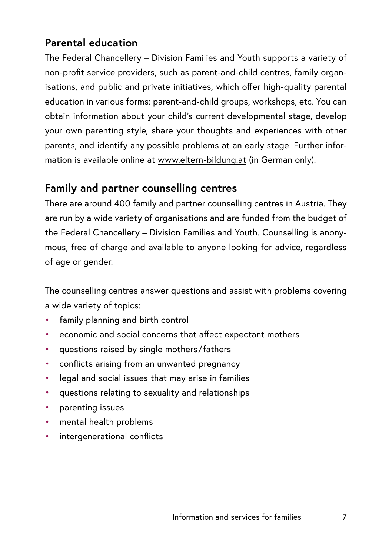# **Parental education**

The Federal Chancellery – Division Families and Youth supports a variety of non-profit service providers, such as parent-and-child centres, family organisations, and public and private initiatives, which offer high-quality parental education in various forms: parent-and-child groups, workshops, etc. You can obtain information about your child's current developmental stage, develop your own parenting style, share your thoughts and experiences with other parents, and identify any possible problems at an early stage. Further information is available online at [www.eltern-bildung.at](http://www.eltern-bildung.at) (in German only).

# **Family and partner counselling centres**

There are around 400 family and partner counselling centres in Austria. They are run by a wide variety of organisations and are funded from the budget of the Federal Chancellery – Division Families and Youth. Counselling is anonymous, free of charge and available to anyone looking for advice, regardless of age or gender.

The counselling centres answer questions and assist with problems covering a wide variety of topics:

- family planning and birth control
- economic and social concerns that affect expectant mothers
- questions raised by single mothers/ fathers
- conflicts arising from an unwanted pregnancy
- legal and social issues that may arise in families
- questions relating to sexuality and relationships
- parenting issues
- mental health problems
- intergenerational conflicts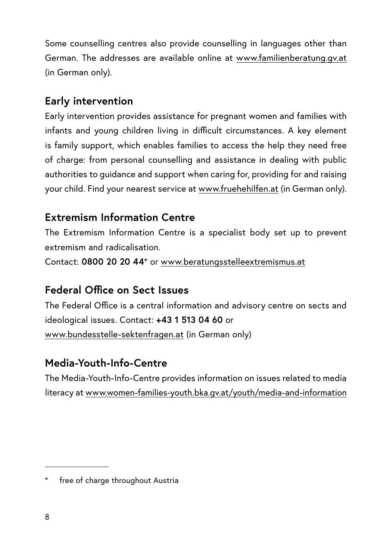Some counselling centres also provide counselling in languages other than German. The addresses are available online at [www.familienberatung.gv.at](http://www.familienberatung.gv.at) (in German only).

# **Early intervention**

Early intervention provides assistance for pregnant women and families with infants and young children living in difficult circumstances. A key element is family support, which enables families to access the help they need free of charge: from personal counselling and assistance in dealing with public authorities to guidance and support when caring for, providing for and raising your child. Find your nearest service at [www.fruehehilfen.at](http://www.fruehehilfen.at) (in German only).

# **Extremism Information Centre**

The Extremism Information Centre is a specialist body set up to prevent extremism and radicalisation.

Contact: **0800 20 20 44**\* or [www.beratungsstelleextremismus.at](http://www.beratungsstelleextremismus.at)

# **Federal Office on Sect Issues**

The Federal Office is a central information and advisory centre on sects and ideological issues. Contact: **+43 1 513 04 60** or [www.bundesstelle-sektenfragen.at](http://www.bundesstelle-sektenfragen.at) (in German only)

# **Media-Youth-Info-Centre**

The Media-Youth-Info-Centre provides information on issues related to media literacy at [www.women-families-youth.bka.gv.at/youth/media-and-information](https://www.women-families-youth.bka.gv.at/youth/media-and-information)

free of charge throughout Austria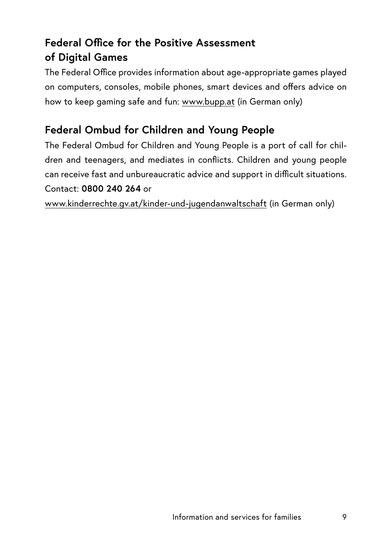# **Federal Office for the Positive Assessment of Digital Games**

The Federal Office provides information about age-appropriate games played on computers, consoles, mobile phones, smart devices and offers advice on how to keep gaming safe and fun: [www.bupp.at](http://www.bupp.at) (in German only)

# **Federal Ombud for Children and Young People**

The Federal Ombud for Children and Young People is a port of call for children and teenagers, and mediates in conflicts. Children and young people can receive fast and unbureaucratic advice and support in difficult situations. Contact: **0800 240 264** or

[www.kinderrechte.gv.at/kinder-und-jugendanwaltschaft](http://www.kinderrechte.gv.at/kinder-und-jugendanwaltschaft) (in German only)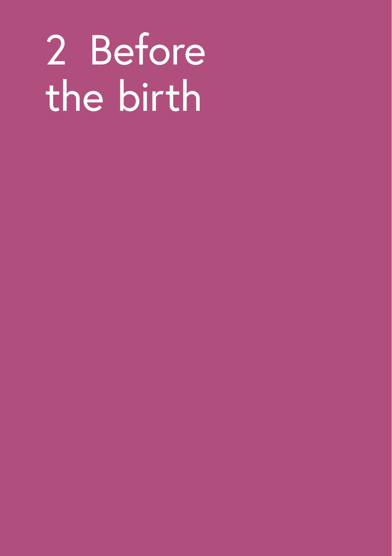# <span id="page-11-0"></span>2 Before the birth

- 
- 
- 
- 
- - -
-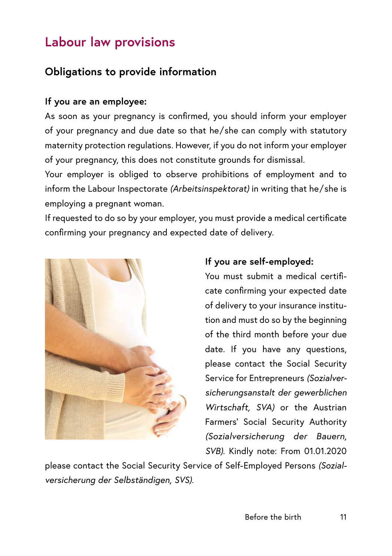# <span id="page-12-0"></span>**Labour law provisions**

# **Obligations to provide information**

#### **If you are an employee:**

As soon as your pregnancy is confirmed, you should inform your employer of your pregnancy and due date so that he/ she can comply with statutory maternity protection regulations. However, if you do not inform your employer of your pregnancy, this does not constitute grounds for dismissal.

Your employer is obliged to observe prohibitions of employment and to inform the Labour Inspectorate *(Arbeitsinspektorat)* in writing that he/ she is employing a pregnant woman.

If requested to do so by your employer, you must provide a medical certificate confirming your pregnancy and expected date of delivery.



#### **If you are self-employed:**

You must submit a medical certificate confirming your expected date of delivery to your insurance institution and must do so by the beginning of the third month before your due date. If you have any questions, please contact the Social Security Service for Entrepreneurs *(Sozialversicherungsanstalt der gewerblichen Wirtschaft, SVA)* or the Austrian Farmers' Social Security Authority *(Sozialversicherung der Bauern, SVB).* Kindly note: From 01.01.2020

please contact the Social Security Service of Self-Employed Persons *(Sozialversicherung der Selbständigen, SVS).*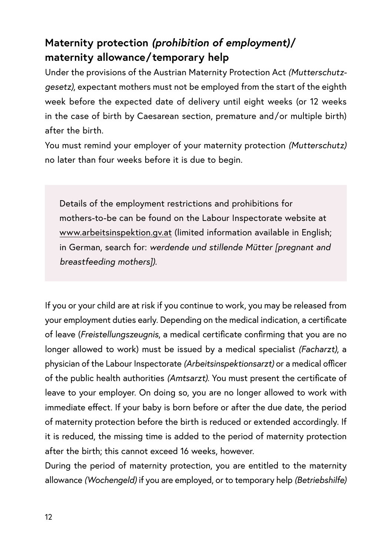# **Maternity protection** *(prohibition of employment)***/ maternity allowance/ temporary help**

Under the provisions of the Austrian Maternity Protection Act *(Mutterschutzgesetz)*, expectant mothers must not be employed from the start of the eighth week before the expected date of delivery until eight weeks (or 12 weeks in the case of birth by Caesarean section, premature and/ or multiple birth) after the birth.

You must remind your employer of your maternity protection *(Mutterschutz)*  no later than four weeks before it is due to begin.

Details of the employment restrictions and prohibitions for mothers-to-be can be found on the Labour Inspectorate website at [www.arbeitsinspektion.gv.at](http://www.arbeitsinspektion.gv.at) (limited information available in English; in German, search for: *werdende und stillende Mütter [pregnant and breastfeeding mothers]).*

If you or your child are at risk if you continue to work, you may be released from your employment duties early. Depending on the medical indication, a certificate of leave (*Freistellungszeugnis*, a medical certificate confirming that you are no longer allowed to work) must be issued by a medical specialist *(Facharzt)*, a physician of the Labour Inspectorate *(Arbeitsinspektionsarzt)* or a medical officer of the public health authorities *(Amtsarzt)*. You must present the certificate of leave to your employer. On doing so, you are no longer allowed to work with immediate effect. If your baby is born before or after the due date, the period of maternity protection before the birth is reduced or extended accordingly. If it is reduced, the missing time is added to the period of maternity protection after the birth; this cannot exceed 16 weeks, however.

During the period of maternity protection, you are entitled to the maternity allowance *(Wochengeld)* if you are employed, or to temporary help *(Betriebshilfe)*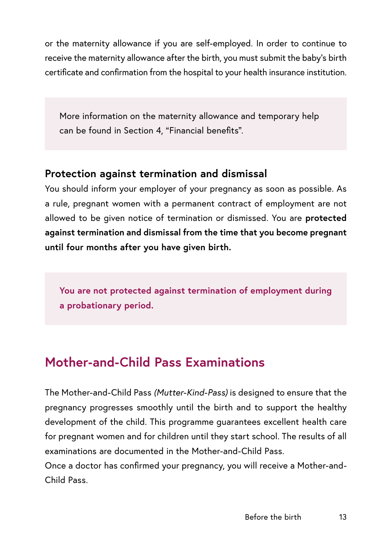<span id="page-14-0"></span>or the maternity allowance if you are self-employed. In order to continue to receive the maternity allowance after the birth, you must submit the baby's birth certificate and confirmation from the hospital to your health insurance institution.

More information on the maternity allowance and temporary help can be found in Section 4, "Financial benefits".

## **Protection against termination and dismissal**

You should inform your employer of your pregnancy as soon as possible. As a rule, pregnant women with a permanent contract of employment are not allowed to be given notice of termination or dismissed. You are **protected against termination and dismissal from the time that you become pregnant until four months after you have given birth.**

**You are not protected against termination of employment during a probationary period.**

# **Mother-and-Child Pass Examinations**

The Mother-and-Child Pass *(Mutter-Kind-Pass)* is designed to ensure that the pregnancy progresses smoothly until the birth and to support the healthy development of the child. This programme guarantees excellent health care for pregnant women and for children until they start school. The results of all examinations are documented in the Mother-and-Child Pass.

Once a doctor has confirmed your pregnancy, you will receive a Mother-and-Child Pass.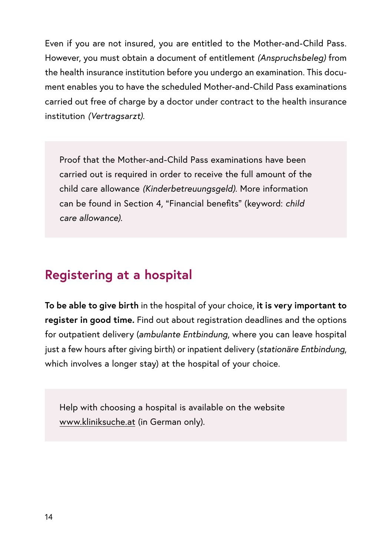<span id="page-15-0"></span>Even if you are not insured, you are entitled to the Mother-and-Child Pass. However, you must obtain a document of entitlement *(Anspruchsbeleg)* from the health insurance institution before you undergo an examination. This document enables you to have the scheduled Mother-and-Child Pass examinations carried out free of charge by a doctor under contract to the health insurance institution *(Vertragsarzt)*.

Proof that the Mother-and-Child Pass examinations have been carried out is required in order to receive the full amount of the child care allowance *(Kinderbetreuungsgeld)*. More information can be found in Section 4, "Financial benefits" (keyword: *child care allowance).*

# **Registering at a hospital**

**To be able to give birth** in the hospital of your choice, **it is very important to register in good time.** Find out about registration deadlines and the options for outpatient delivery (*ambulante Entbindung*, where you can leave hospital just a few hours after giving birth) or inpatient delivery (*stationäre Entbindung*, which involves a longer stay) at the hospital of your choice.

Help with choosing a hospital is available on the website [www.kliniksuche.at](http://www.kliniksuche.at) (in German only).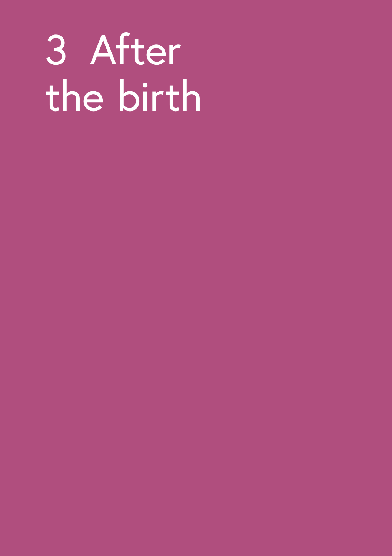# <span id="page-16-0"></span>3 After the birth

- 
- - -
		-
		- -
- 
-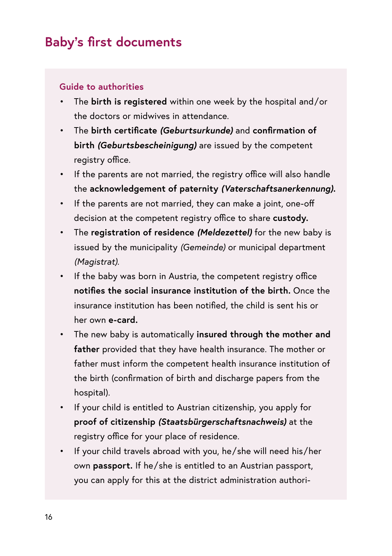# <span id="page-17-0"></span>**Baby's first documents**

#### **Guide to authorities**

- The **birth is registered** within one week by the hospital and/ or the doctors or midwives in attendance.
- The **birth certificate** *(Geburtsurkunde)* and **confirmation of birth** *(Geburtsbescheinigung)* are issued by the competent registry office.
- If the parents are not married, the registry office will also handle the **acknowledgement of paternity** *(Vaterschaftsanerkennung).*
- If the parents are not married, they can make a joint, one-off decision at the competent registry office to share **custody.**
- The **registration of residence** *(Meldezettel)* for the new baby is issued by the municipality *(Gemeinde)* or municipal department *(Magistrat).*
- If the baby was born in Austria, the competent registry office **notifies the social insurance institution of the birth.** Once the insurance institution has been notified, the child is sent his or her own **e-card.**
- The new baby is automatically **insured through the mother and father** provided that they have health insurance. The mother or father must inform the competent health insurance institution of the birth (confirmation of birth and discharge papers from the hospital).
- If your child is entitled to Austrian citizenship, you apply for **proof of citizenship** *(Staatsbürgerschaftsnachweis)* at the registry office for your place of residence.
- If your child travels abroad with you, he/ she will need his/ her own **passport.** If he/ she is entitled to an Austrian passport, you can apply for this at the district administration authori-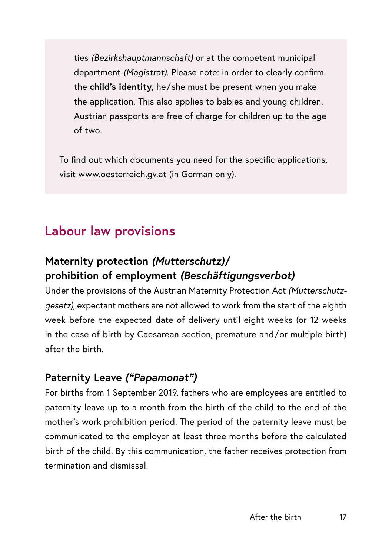<span id="page-18-0"></span>ties *(Bezirkshauptmannschaft)* or at the competent municipal department *(Magistrat)*. Please note: in order to clearly confirm the **child's identity,** he/ she must be present when you make the application. This also applies to babies and young children. Austrian passports are free of charge for children up to the age of two.

To find out which documents you need for the specific applications, visit [www.oesterreich.gv.at](http://www.oesterreich.gv.at) (in German only).

# **Labour law provisions**

# **Maternity protection** *(Mutterschutz)***/ prohibition of employment** *(Beschäftigungsverbot)*

Under the provisions of the Austrian Maternity Protection Act *(Mutterschutzgesetz)*, expectant mothers are not allowed to work from the start of the eighth week before the expected date of delivery until eight weeks (or 12 weeks in the case of birth by Caesarean section, premature and/or multiple birth) after the birth.

#### **Paternity Leave** *("Papamonat")*

For births from 1 September 2019, fathers who are employees are entitled to paternity leave up to a month from the birth of the child to the end of the mother's work prohibition period. The period of the paternity leave must be communicated to the employer at least three months before the calculated birth of the child. By this communication, the father receives protection from termination and dismissal.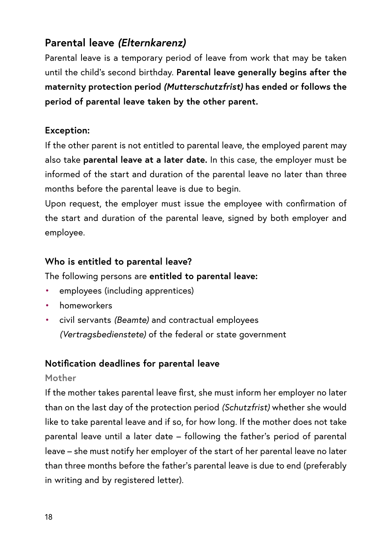# **Parental leave** *(Elternkarenz)*

Parental leave is a temporary period of leave from work that may be taken until the child's second birthday. **Parental leave generally begins after the maternity protection period** *(Mutterschutzfrist)* **has ended or follows the period of parental leave taken by the other parent.**

#### **Exception:**

If the other parent is not entitled to parental leave, the employed parent may also take **parental leave at a later date.** In this case, the employer must be informed of the start and duration of the parental leave no later than three months before the parental leave is due to begin.

Upon request, the employer must issue the employee with confirmation of the start and duration of the parental leave, signed by both employer and employee.

#### **Who is entitled to parental leave?**

The following persons are **entitled to parental leave:**

- employees (including apprentices)
- homeworkers
- civil servants *(Beamte)* and contractual employees *(Vertragsbedienstete)* of the federal or state government

#### **Notification deadlines for parental leave**

#### **Mother**

If the mother takes parental leave first, she must inform her employer no later than on the last day of the protection period *(Schutzfrist)* whether she would like to take parental leave and if so, for how long. If the mother does not take parental leave until a later date – following the father's period of parental leave – she must notify her employer of the start of her parental leave no later than three months before the father's parental leave is due to end (preferably in writing and by registered letter).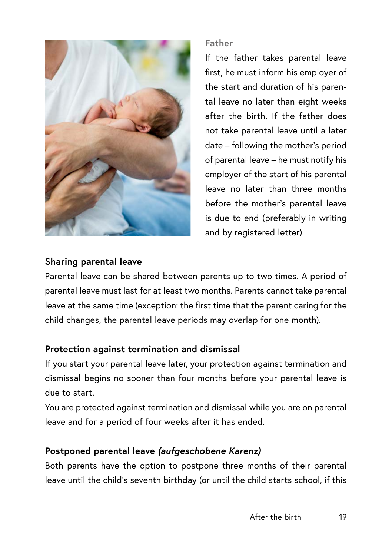

#### **Father**

If the father takes parental leave first, he must inform his employer of the start and duration of his parental leave no later than eight weeks after the birth. If the father does not take parental leave until a later date – following the mother's period of parental leave – he must notify his employer of the start of his parental leave no later than three months before the mother's parental leave is due to end (preferably in writing and by registered letter).

#### **Sharing parental leave**

Parental leave can be shared between parents up to two times. A period of parental leave must last for at least two months. Parents cannot take parental leave at the same time (exception: the first time that the parent caring for the child changes, the parental leave periods may overlap for one month).

#### **Protection against termination and dismissal**

If you start your parental leave later, your protection against termination and dismissal begins no sooner than four months before your parental leave is due to start.

You are protected against termination and dismissal while you are on parental leave and for a period of four weeks after it has ended.

#### **Postponed parental leave** *(aufgeschobene Karenz)*

Both parents have the option to postpone three months of their parental leave until the child's seventh birthday (or until the child starts school, if this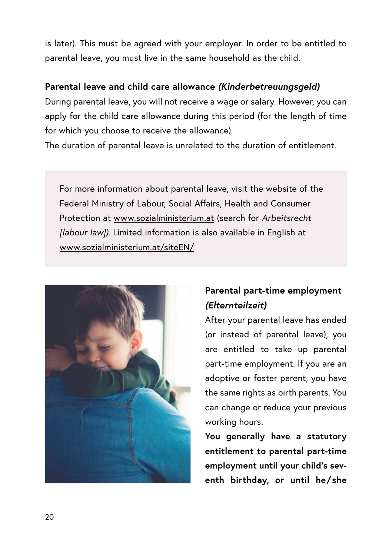is later). This must be agreed with your employer. In order to be entitled to parental leave, you must live in the same household as the child.

#### **Parental leave and child care allowance** *(Kinderbetreuungsgeld)*

During parental leave, you will not receive a wage or salary. However, you can apply for the child care allowance during this period (for the length of time for which you choose to receive the allowance).

The duration of parental leave is unrelated to the duration of entitlement.

For more information about parental leave, visit the website of the Federal Ministry of Labour, Social Affairs, Health and Consumer Protection at [www.sozialministerium.at](http://www.sozialministerium.at) (search for *Arbeitsrecht [labour law]).* Limited information is also available in English at www.sozialministerium.at/siteEN/



# **Parental part-time employment**  *(Elternteilzeit)*

After your parental leave has ended (or instead of parental leave), you are entitled to take up parental part-time employment. If you are an adoptive or foster parent, you have the same rights as birth parents. You can change or reduce your previous working hours.

**You generally have a statutory entitlement to parental part-time employment until your child's seventh birthday, or until he/ she**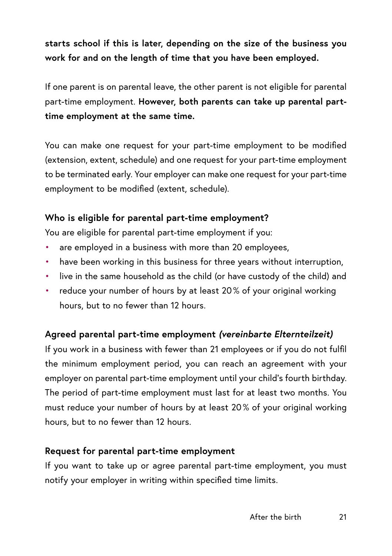# **starts school if this is later, depending on the size of the business you work for and on the length of time that you have been employed.**

If one parent is on parental leave, the other parent is not eligible for parental part-time employment. **However, both parents can take up parental parttime employment at the same time.**

You can make one request for your part-time employment to be modified (extension, extent, schedule) and one request for your part-time employment to be terminated early. Your employer can make one request for your part-time employment to be modified (extent, schedule).

#### **Who is eligible for parental part-time employment?**

You are eligible for parental part-time employment if you:

- are employed in a business with more than 20 employees.
- have been working in this business for three years without interruption,
- live in the same household as the child (or have custody of the child) and
- reduce your number of hours by at least 20 % of your original working hours, but to no fewer than 12 hours.

#### **Agreed parental part-time employment** *(vereinbarte Elternteilzeit)*

If you work in a business with fewer than 21 employees or if you do not fulfil the minimum employment period, you can reach an agreement with your employer on parental part-time employment until your child's fourth birthday. The period of part-time employment must last for at least two months. You must reduce your number of hours by at least 20 % of your original working hours, but to no fewer than 12 hours.

#### **Request for parental part-time employment**

If you want to take up or agree parental part-time employment, you must notify your employer in writing within specified time limits.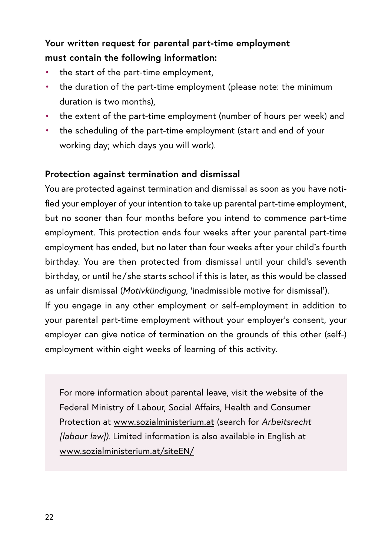# **Your written request for parental part-time employment must contain the following information:**

- the start of the part-time employment,
- the duration of the part-time employment (please note: the minimum duration is two months).
- the extent of the part-time employment (number of hours per week) and
- the scheduling of the part-time employment (start and end of your working day; which days you will work).

#### **Protection against termination and dismissal**

You are protected against termination and dismissal as soon as you have notified your employer of your intention to take up parental part-time employment, but no sooner than four months before you intend to commence part-time employment. This protection ends four weeks after your parental part-time employment has ended, but no later than four weeks after your child's fourth birthday. You are then protected from dismissal until your child's seventh birthday, or until he/ she starts school if this is later, as this would be classed as unfair dismissal (*Motivkündigung*, 'inadmissible motive for dismissal'). If you engage in any other employment or self-employment in addition to your parental part-time employment without your employer's consent, your employer can give notice of termination on the grounds of this other (self-)

For more information about parental leave, visit the website of the Federal Ministry of Labour, Social Affairs, Health and Consumer Protection at [www.sozialministerium.at](http://www.sozialministerium.at) (search for *Arbeitsrecht [labour law]).* Limited information is also available in English at [www.sozialministerium.at/siteEN/](http://www.sozialministerium.at/siteEN/)

employment within eight weeks of learning of this activity.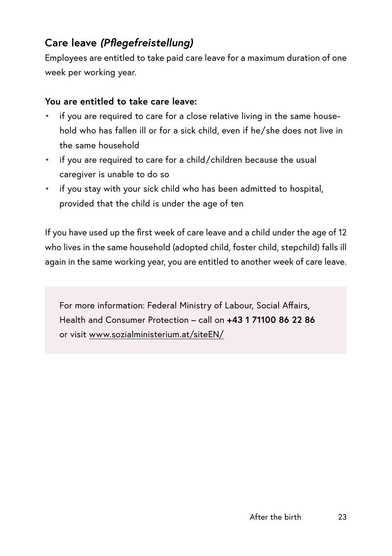# **Care leave** *(Pflegefreistellung)*

Employees are entitled to take paid care leave for a maximum duration of one week per working year.

#### **You are entitled to take care leave:**

- if you are required to care for a close relative living in the same household who has fallen ill or for a sick child, even if he/ she does not live in the same household
- if you are required to care for a child/ children because the usual caregiver is unable to do so
- if you stay with your sick child who has been admitted to hospital, provided that the child is under the age of ten

If you have used up the first week of care leave and a child under the age of 12 who lives in the same household (adopted child, foster child, stepchild) falls ill again in the same working year, you are entitled to another week of care leave.

For more information: Federal Ministry of Labour, Social Affairs, Health and Consumer Protection – call on **+43 1 71100 86 22 86** or visit [www.sozialministerium.at/siteEN/](http://www.sozialministerium.at/siteEN/)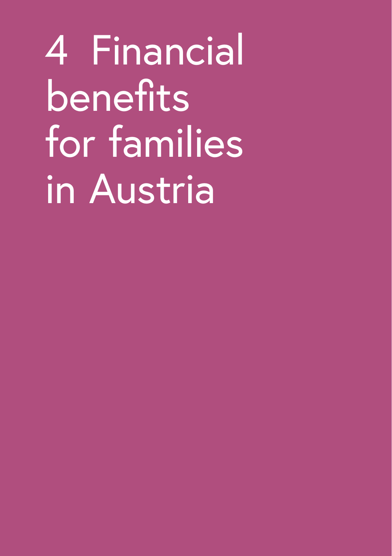<span id="page-25-0"></span>4 Financial benefits for families in Austria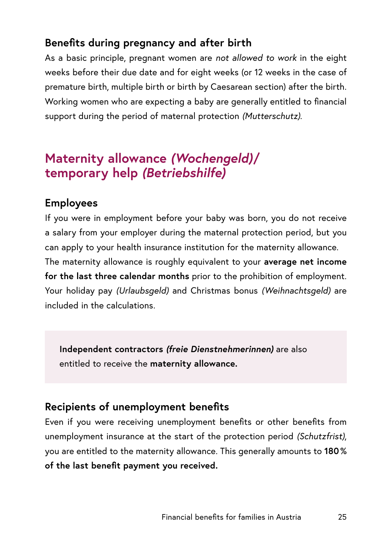# <span id="page-26-0"></span>**Benefits during pregnancy and after birth**

As a basic principle, pregnant women are *not allowed to work* in the eight weeks before their due date and for eight weeks (or 12 weeks in the case of premature birth, multiple birth or birth by Caesarean section) after the birth. Working women who are expecting a baby are generally entitled to financial support during the period of maternal protection *(Mutterschutz)*.

# **Maternity allowance** *(Wochengeld)***/ temporary help** *(Betriebshilfe)*

#### **Employees**

If you were in employment before your baby was born, you do not receive a salary from your employer during the maternal protection period, but you can apply to your health insurance institution for the maternity allowance.

The maternity allowance is roughly equivalent to your **average net income for the last three calendar months** prior to the prohibition of employment. Your holiday pay *(Urlaubsgeld)* and Christmas bonus *(Weihnachtsgeld)* are included in the calculations.

**Independent contractors** *(freie Dienstnehmerinnen)* are also entitled to receive the **maternity allowance.**

#### **Recipients of unemployment benefits**

Even if you were receiving unemployment benefits or other benefits from unemployment insurance at the start of the protection period *(Schutzfrist)*, you are entitled to the maternity allowance. This generally amounts to **180 % of the last benefit payment you received.**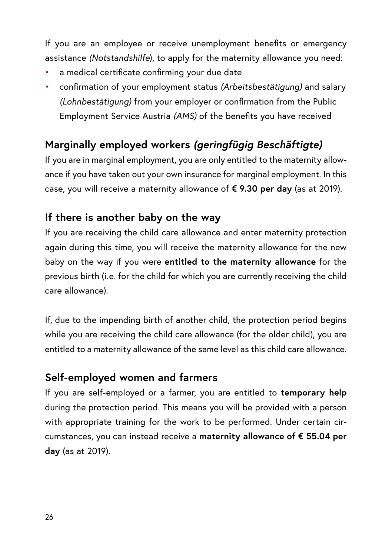If you are an employee or receive unemployment benefits or emergency assistance *(Notstandshilfe*), to apply for the maternity allowance you need:

- a medical certificate confirming your due date
- confirmation of your employment status *(Arbeitsbestätigung)* and salary *(Lohnbestätigung)* from your employer or confirmation from the Public Employment Service Austria *(AMS)* of the benefits you have received

# **Marginally employed workers** *(geringfügig Beschäftigte)*

If you are in marginal employment, you are only entitled to the maternity allowance if you have taken out your own insurance for marginal employment. In this case, you will receive a maternity allowance of **€ 9.30 per day** (as at 2019).

# **If there is another baby on the way**

If you are receiving the child care allowance and enter maternity protection again during this time, you will receive the maternity allowance for the new baby on the way if you were **entitled to the maternity allowance** for the previous birth (i.e. for the child for which you are currently receiving the child care allowance).

If, due to the impending birth of another child, the protection period begins while you are receiving the child care allowance (for the older child), you are entitled to a maternity allowance of the same level as this child care allowance.

# **Self-employed women and farmers**

If you are self-employed or a farmer, you are entitled to **temporary help** during the protection period. This means you will be provided with a person with appropriate training for the work to be performed. Under certain circumstances, you can instead receive a **maternity allowance of € 55.04 per day** (as at 2019).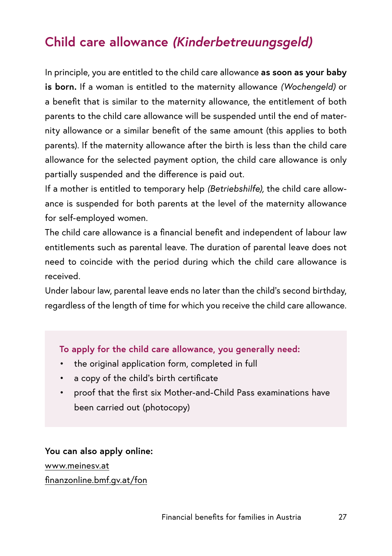# <span id="page-28-0"></span>**Child care allowance** *(Kinderbetreuungsgeld)*

In principle, you are entitled to the child care allowance **as soon as your baby is born.** If a woman is entitled to the maternity allowance *(Wochengeld)* or a benefit that is similar to the maternity allowance, the entitlement of both parents to the child care allowance will be suspended until the end of maternity allowance or a similar benefit of the same amount (this applies to both parents). If the maternity allowance after the birth is less than the child care allowance for the selected payment option, the child care allowance is only partially suspended and the difference is paid out.

If a mother is entitled to temporary help *(Betriebshilfe),* the child care allowance is suspended for both parents at the level of the maternity allowance for self-employed women.

The child care allowance is a financial benefit and independent of labour law entitlements such as parental leave. The duration of parental leave does not need to coincide with the period during which the child care allowance is received.

Under labour law, parental leave ends no later than the child's second birthday, regardless of the length of time for which you receive the child care allowance.

#### **To apply for the child care allowance, you generally need:**

- the original application form, completed in full
- a copy of the child's birth certificate
- proof that the first six Mother-and-Child Pass examinations have been carried out (photocopy)

**You can also apply online:** [www.meinesv.at](http://www.meinesv.at) [finanzonline.bmf.gv.at/fon](http://finanzonline.bmf.gv.at/fon)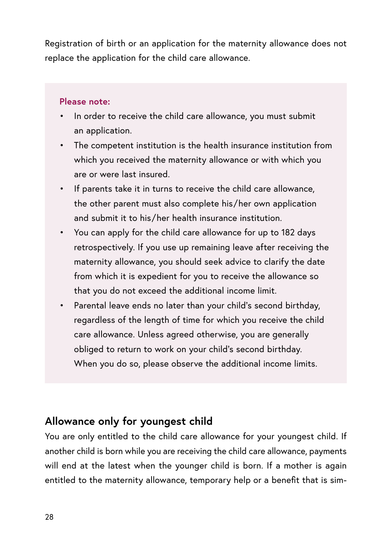Registration of birth or an application for the maternity allowance does not replace the application for the child care allowance.

#### **Please note:**

- In order to receive the child care allowance, you must submit an application.
- The competent institution is the health insurance institution from which you received the maternity allowance or with which you are or were last insured.
- If parents take it in turns to receive the child care allowance, the other parent must also complete his/ her own application and submit it to his/ her health insurance institution.
- You can apply for the child care allowance for up to 182 days retrospectively. If you use up remaining leave after receiving the maternity allowance, you should seek advice to clarify the date from which it is expedient for you to receive the allowance so that you do not exceed the additional income limit.
- Parental leave ends no later than your child's second birthday, regardless of the length of time for which you receive the child care allowance. Unless agreed otherwise, you are generally obliged to return to work on your child's second birthday. When you do so, please observe the additional income limits.

# **Allowance only for youngest child**

You are only entitled to the child care allowance for your youngest child. If another child is born while you are receiving the child care allowance, payments will end at the latest when the younger child is born. If a mother is again entitled to the maternity allowance, temporary help or a benefit that is sim-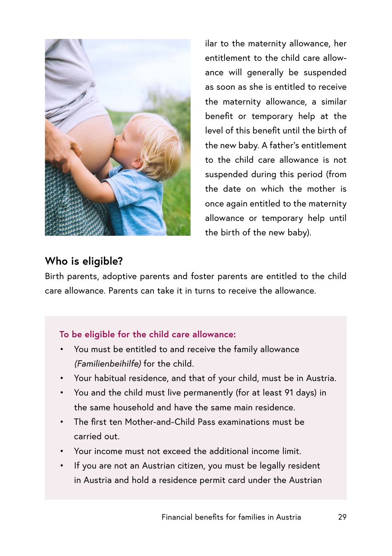

ilar to the maternity allowance, her entitlement to the child care allowance will generally be suspended as soon as she is entitled to receive the maternity allowance, a similar benefit or temporary help at the level of this benefit until the birth of the new baby. A father's entitlement to the child care allowance is not suspended during this period (from the date on which the mother is once again entitled to the maternity allowance or temporary help until the birth of the new baby).

## **Who is eligible?**

Birth parents, adoptive parents and foster parents are entitled to the child care allowance. Parents can take it in turns to receive the allowance.

#### **To be eligible for the child care allowance:**

- You must be entitled to and receive the family allowance *(Familienbeihilfe)* for the child.
- Your habitual residence, and that of your child, must be in Austria.
- You and the child must live permanently (for at least 91 days) in the same household and have the same main residence.
- The first ten Mother-and-Child Pass examinations must be carried out.
- Your income must not exceed the additional income limit.
- If you are not an Austrian citizen, you must be legally resident in Austria and hold a residence permit card under the Austrian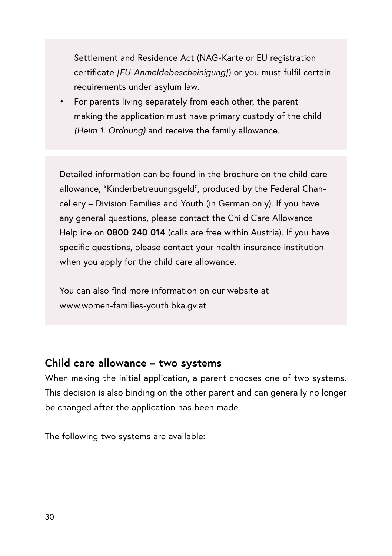Settlement and Residence Act (NAG-Karte or EU registration certificate *[EU-Anmeldebescheinigung]*) or you must fulfil certain requirements under asylum law.

• For parents living separately from each other, the parent making the application must have primary custody of the child *(Heim 1. Ordnung)* and receive the family allowance.

Detailed information can be found in the brochure on the child care allowance, "Kinderbetreuungsgeld", produced by the Federal Chancellery – Division Families and Youth (in German only). If you have any general questions, please contact the Child Care Allowance Helpline on **0800 240 014** (calls are free within Austria). If you have specific questions, please contact your health insurance institution when you apply for the child care allowance.

You can also find more information on our website at www.women-families-youth.bka.gv.at

#### **Child care allowance – two systems**

When making the initial application, a parent chooses one of two systems. This decision is also binding on the other parent and can generally no longer be changed after the application has been made.

The following two systems are available: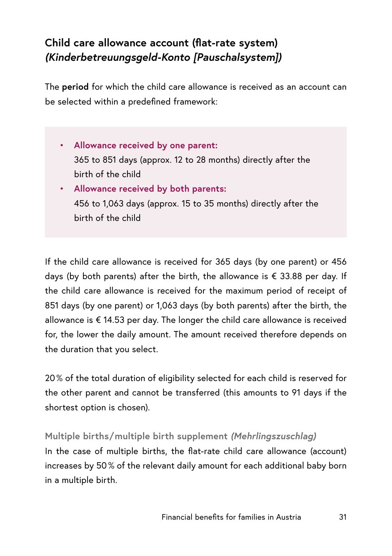# **Child care allowance account (flat-rate system)**  *(Kinderbetreuungsgeld-Konto [Pauschalsystem])*

The **period** for which the child care allowance is received as an account can be selected within a predefined framework:

- **Allowance received by one parent:**  365 to 851 days (approx. 12 to 28 months) directly after the birth of the child
- **Allowance received by both parents:** 456 to 1,063 days (approx. 15 to 35 months) directly after the birth of the child

If the child care allowance is received for 365 days (by one parent) or 456 days (by both parents) after the birth, the allowance is  $\epsilon$  33.88 per day. If the child care allowance is received for the maximum period of receipt of 851 days (by one parent) or 1,063 days (by both parents) after the birth, the allowance is € 14.53 per day. The longer the child care allowance is received for, the lower the daily amount. The amount received therefore depends on the duration that you select.

20 % of the total duration of eligibility selected for each child is reserved for the other parent and cannot be transferred (this amounts to 91 days if the shortest option is chosen).

**Multiple births/ multiple birth supplement** *(Mehrlingszuschlag)* In the case of multiple births, the flat-rate child care allowance (account) increases by 50 % of the relevant daily amount for each additional baby born in a multiple birth.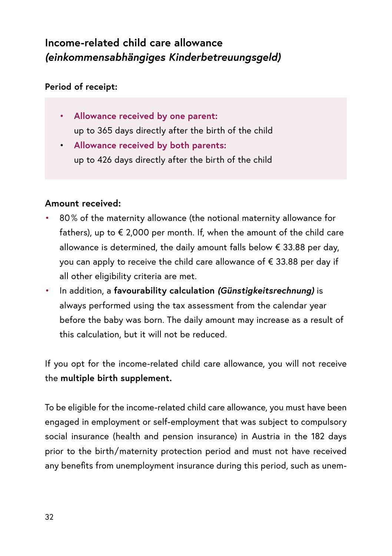# **Income-related child care allowance**  *(einkommensabhängiges Kinderbetreuungsgeld)*

#### **Period of receipt:**

- **Allowance received by one parent:**  up to 365 days directly after the birth of the child
- **Allowance received by both parents:**  up to 426 days directly after the birth of the child

#### **Amount received:**

- 80 % of the maternity allowance (the notional maternity allowance for fathers), up to  $\epsilon$  2,000 per month. If, when the amount of the child care allowance is determined, the daily amount falls below € 33.88 per day, you can apply to receive the child care allowance of € 33.88 per day if all other eligibility criteria are met.
- In addition, a **favourability calculation** *(Günstigkeitsrechnung)* is always performed using the tax assessment from the calendar year before the baby was born. The daily amount may increase as a result of this calculation, but it will not be reduced.

If you opt for the income-related child care allowance, you will not receive the **multiple birth supplement.**

To be eligible for the income-related child care allowance, you must have been engaged in employment or self-employment that was subject to compulsory social insurance (health and pension insurance) in Austria in the 182 days prior to the birth/ maternity protection period and must not have received any benefits from unemployment insurance during this period, such as unem-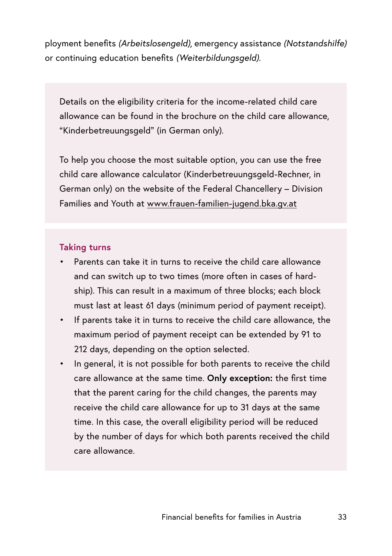ployment benefits *(Arbeitslosengeld),* emergency assistance *(Notstandshilfe)*  or continuing education benefits *(Weiterbildungsgeld).*

Details on the eligibility criteria for the income-related child care allowance can be found in the brochure on the child care allowance, "Kinderbetreuungsgeld" (in German only).

To help you choose the most suitable option, you can use the free child care allowance calculator (Kinderbetreuungsgeld-Rechner, in German only) on the website of the Federal Chancellery – Division Families and Youth at [www.frauen-familien-jugend.bka.gv.at](https://www.frauen-familien-jugend.bka.gv.at)

#### **Taking turns**

- Parents can take it in turns to receive the child care allowance and can switch up to two times (more often in cases of hardship). This can result in a maximum of three blocks; each block must last at least 61 days (minimum period of payment receipt).
- If parents take it in turns to receive the child care allowance, the maximum period of payment receipt can be extended by 91 to 212 days, depending on the option selected.
- In general, it is not possible for both parents to receive the child care allowance at the same time. **Only exception:** the first time that the parent caring for the child changes, the parents may receive the child care allowance for up to 31 days at the same time. In this case, the overall eligibility period will be reduced by the number of days for which both parents received the child care allowance.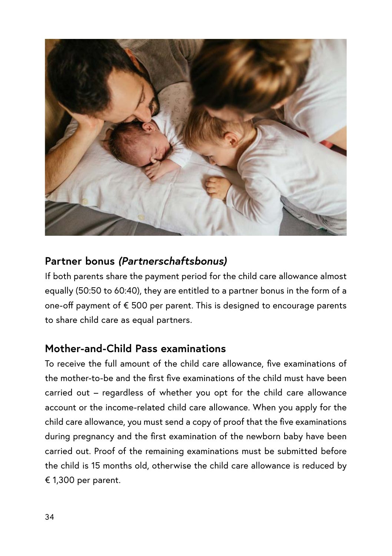

## **Partner bonus** *(Partnerschaftsbonus)*

If both parents share the payment period for the child care allowance almost equally (50:50 to 60:40), they are entitled to a partner bonus in the form of a one-off payment of € 500 per parent. This is designed to encourage parents to share child care as equal partners.

#### **Mother-and-Child Pass examinations**

To receive the full amount of the child care allowance, five examinations of the mother-to-be and the first five examinations of the child must have been carried out – regardless of whether you opt for the child care allowance account or the income-related child care allowance. When you apply for the child care allowance, you must send a copy of proof that the five examinations during pregnancy and the first examination of the newborn baby have been carried out. Proof of the remaining examinations must be submitted before the child is 15 months old, otherwise the child care allowance is reduced by € 1,300 per parent.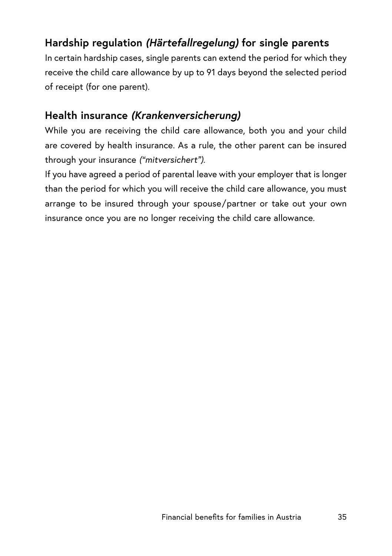# **Hardship regulation** *(Härtefallregelung)* **for single parents**

In certain hardship cases, single parents can extend the period for which they receive the child care allowance by up to 91 days beyond the selected period of receipt (for one parent).

## **Health insurance** *(Krankenversicherung)*

While you are receiving the child care allowance, both you and your child are covered by health insurance. As a rule, the other parent can be insured through your insurance *("mitversichert").*

If you have agreed a period of parental leave with your employer that is longer than the period for which you will receive the child care allowance, you must arrange to be insured through your spouse/ partner or take out your own insurance once you are no longer receiving the child care allowance.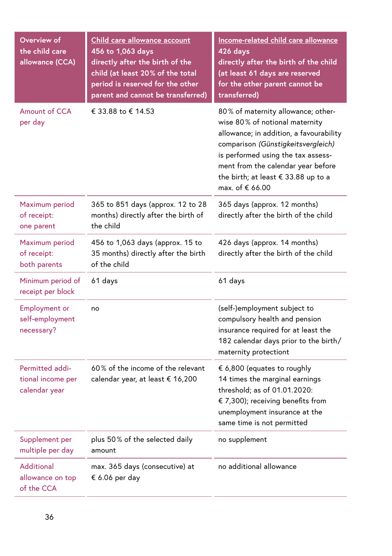| Overview of<br>the child care<br>allowance (CCA)      | Child care allowance account<br>456 to 1,063 days<br>directly after the birth of the<br>child (at least 20% of the total<br>period is reserved for the other<br>parent and cannot be transferred) | Income-related child care allowance<br>426 days<br>directly after the birth of the child<br>(at least 61 days are reserved<br>for the other parent cannot be<br>transferred)                                                                                                                |
|-------------------------------------------------------|---------------------------------------------------------------------------------------------------------------------------------------------------------------------------------------------------|---------------------------------------------------------------------------------------------------------------------------------------------------------------------------------------------------------------------------------------------------------------------------------------------|
| Amount of CCA<br>per day                              | € 33.88 to € 14.53                                                                                                                                                                                | 80% of maternity allowance; other-<br>wise 80% of notional maternity<br>allowance; in addition, a favourability<br>comparison (Günstigkeitsvergleich)<br>is performed using the tax assess-<br>ment from the calendar year before<br>the birth; at least € 33.88 up to a<br>max. of € 66.00 |
| Maximum period<br>of receipt:<br>one parent           | 365 to 851 days (approx. 12 to 28<br>months) directly after the birth of<br>the child                                                                                                             | 365 days (approx. 12 months)<br>directly after the birth of the child                                                                                                                                                                                                                       |
| Maximum period<br>of receipt:<br>both parents         | 456 to 1,063 days (approx. 15 to<br>35 months) directly after the birth<br>of the child                                                                                                           | 426 days (approx. 14 months)<br>directly after the birth of the child                                                                                                                                                                                                                       |
| Minimum period of<br>receipt per block                | 61 days                                                                                                                                                                                           | 61 days                                                                                                                                                                                                                                                                                     |
| <b>Employment or</b><br>self-employment<br>necessary? | no                                                                                                                                                                                                | (self-)employment subject to<br>compulsory health and pension<br>insurance required for at least the<br>182 calendar days prior to the birth/<br>maternity protectiont                                                                                                                      |
| Permitted addi-<br>tional income per<br>calendar year | 60% of the income of the relevant<br>calendar year, at least € 16,200                                                                                                                             | € 6,800 (equates to roughly<br>14 times the marginal earnings<br>threshold; as of 01.01.2020:<br>€ 7,300); receiving benefits from<br>unemployment insurance at the<br>same time is not permitted                                                                                           |
| Supplement per<br>multiple per day                    | plus 50% of the selected daily<br>amount                                                                                                                                                          | no supplement                                                                                                                                                                                                                                                                               |
| Additional<br>allowance on top<br>of the CCA          | max. 365 days (consecutive) at<br>€ 6.06 per day                                                                                                                                                  | no additional allowance                                                                                                                                                                                                                                                                     |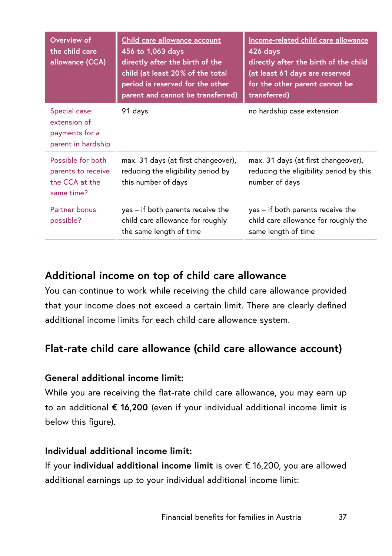| Overview of<br>the child care<br>allowance (CCA)                        | Child care allowance account<br>456 to 1,063 days<br>directly after the birth of the<br>child (at least 20% of the total<br>period is reserved for the other<br>parent and cannot be transferred) | Income-related child care allowance<br>426 days<br>directly after the birth of the child<br>(at least 61 days are reserved<br>for the other parent cannot be<br>transferred) |
|-------------------------------------------------------------------------|---------------------------------------------------------------------------------------------------------------------------------------------------------------------------------------------------|------------------------------------------------------------------------------------------------------------------------------------------------------------------------------|
| Special case:<br>extension of<br>payments for a<br>parent in hardship   | 91 days                                                                                                                                                                                           | no hardship case extension                                                                                                                                                   |
| Possible for both<br>parents to receive<br>the CCA at the<br>same time? | max. 31 days (at first changeover),<br>reducing the eligibility period by<br>this number of days                                                                                                  | max. 31 days (at first changeover),<br>reducing the eligibility period by this<br>number of days                                                                             |
| Partner bonus<br>possible?                                              | yes - if both parents receive the<br>child care allowance for roughly<br>the same length of time                                                                                                  | yes – if both parents receive the<br>child care allowance for roughly the<br>same length of time                                                                             |

## **Additional income on top of child care allowance**

You can continue to work while receiving the child care allowance provided that your income does not exceed a certain limit. There are clearly defined additional income limits for each child care allowance system.

## **Flat-rate child care allowance (child care allowance account)**

#### **General additional income limit:**

While you are receiving the flat-rate child care allowance, you may earn up to an additional **€ 16,200** (even if your individual additional income limit is below this figure).

#### **Individual additional income limit:**

If your **individual additional income limit** is over € 16,200, you are allowed additional earnings up to your individual additional income limit: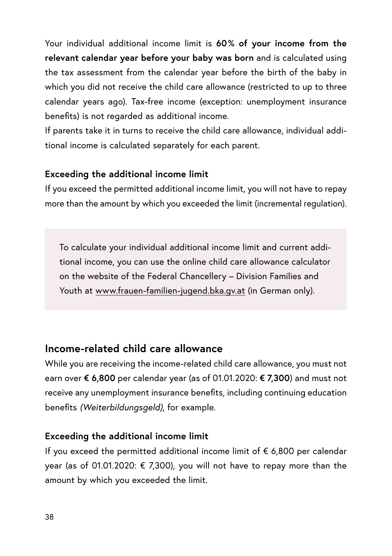Your individual additional income limit is **60 % of your income from the relevant calendar year before your baby was born** and is calculated using the tax assessment from the calendar year before the birth of the baby in which you did not receive the child care allowance (restricted to up to three calendar years ago). Tax-free income (exception: unemployment insurance benefits) is not regarded as additional income.

If parents take it in turns to receive the child care allowance, individual additional income is calculated separately for each parent.

#### **Exceeding the additional income limit**

If you exceed the permitted additional income limit, you will not have to repay more than the amount by which you exceeded the limit (incremental regulation).

To calculate your individual additional income limit and current additional income, you can use the online child care allowance calculator on the website of the Federal Chancellery – Division Families and Youth at [www.frauen-familien-jugend.bka.gv.at](https://www.frauen-familien-jugend.bka.gv.at) (in German only).

## **Income-related child care allowance**

While you are receiving the income-related child care allowance, you must not earn over **€ 6,800** per calendar year (as of 01.01.2020: **€ 7,300**) and must not receive any unemployment insurance benefits, including continuing education benefits *(Weiterbildungsgeld)*, for example.

#### **Exceeding the additional income limit**

If you exceed the permitted additional income limit of € 6,800 per calendar year (as of 01.01.2020: € 7,300), you will not have to repay more than the amount by which you exceeded the limit.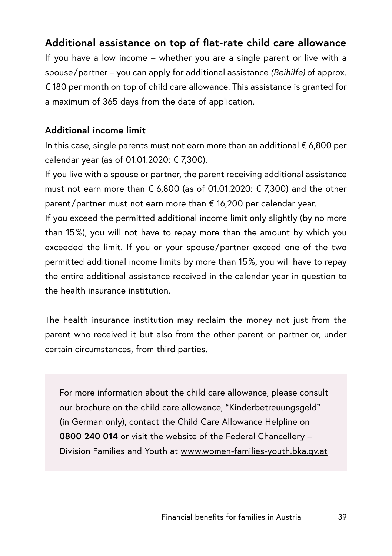# **Additional assistance on top of flat-rate child care allowance**

If you have a low income – whether you are a single parent or live with a spouse/ partner – you can apply for additional assistance *(Beihilfe)* of approx. € 180 per month on top of child care allowance. This assistance is granted for a maximum of 365 days from the date of application.

#### **Additional income limit**

In this case, single parents must not earn more than an additional € 6,800 per calendar year (as of 01.01.2020: € 7,300).

If you live with a spouse or partner, the parent receiving additional assistance must not earn more than € 6,800 (as of 01.01.2020: € 7,300) and the other parent/partner must not earn more than  $\epsilon$  16,200 per calendar year.

If you exceed the permitted additional income limit only slightly (by no more than 15 %), you will not have to repay more than the amount by which you exceeded the limit. If you or your spouse/ partner exceed one of the two permitted additional income limits by more than 15 %, you will have to repay the entire additional assistance received in the calendar year in question to the health insurance institution.

The health insurance institution may reclaim the money not just from the parent who received it but also from the other parent or partner or, under certain circumstances, from third parties.

For more information about the child care allowance, please consult our brochure on the child care allowance, "Kinderbetreuungsgeld" (in German only), contact the Child Care Allowance Helpline on **0800 240 014** or visit the website of the Federal Chancellery – Division Families and Youth at [www.women-families-youth.bka.gv.at](http://www.women-families-youth.bka.gv.at)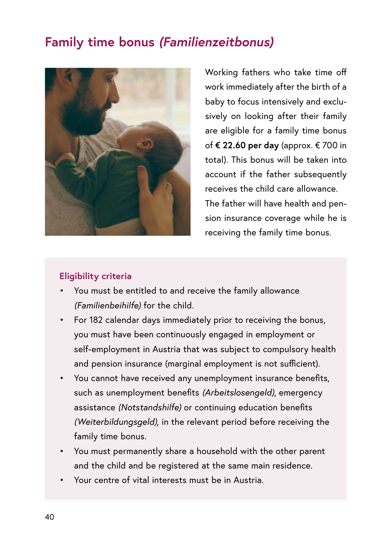# **Family time bonus** *(Familienzeitbonus)*



Working fathers who take time off work immediately after the birth of a baby to focus intensively and exclusively on looking after their family are eligible for a family time bonus of **€ 22.60 per day** (approx. € 700 in total). This bonus will be taken into account if the father subsequently receives the child care allowance. The father will have health and pension insurance coverage while he is receiving the family time bonus.

#### **Eligibility criteria**

- You must be entitled to and receive the family allowance *(Familienbeihilfe)* for the child.
- For 182 calendar days immediately prior to receiving the bonus, you must have been continuously engaged in employment or self-employment in Austria that was subject to compulsory health and pension insurance (marginal employment is not sufficient).
- You cannot have received any unemployment insurance benefits, such as unemployment benefits *(Arbeitslosengeld)*, emergency assistance *(Notstandshilfe)* or continuing education benefits *(Weiterbildungsgeld)*, in the relevant period before receiving the family time bonus.
- You must permanently share a household with the other parent and the child and be registered at the same main residence.
- Your centre of vital interests must be in Austria.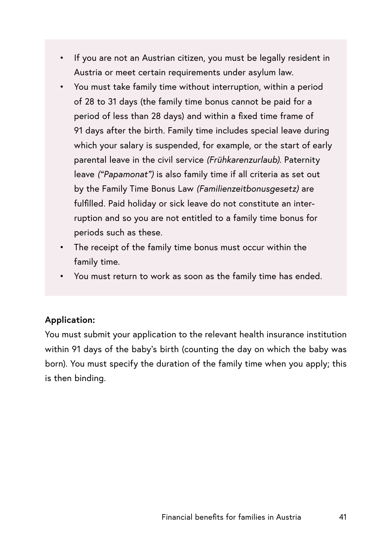- If you are not an Austrian citizen, you must be legally resident in Austria or meet certain requirements under asylum law.
- You must take family time without interruption, within a period of 28 to 31 days (the family time bonus cannot be paid for a period of less than 28 days) and within a fixed time frame of 91 days after the birth. Family time includes special leave during which your salary is suspended, for example, or the start of early parental leave in the civil service *(Frühkarenzurlaub)*. Paternity leave *("Papamonat")* is also family time if all criteria as set out by the Family Time Bonus Law *(Familienzeitbonusgesetz)* are fulfilled. Paid holiday or sick leave do not constitute an interruption and so you are not entitled to a family time bonus for periods such as these.
- The receipt of the family time bonus must occur within the family time.
- You must return to work as soon as the family time has ended.

#### **Application:**

You must submit your application to the relevant health insurance institution within 91 days of the baby's birth (counting the day on which the baby was born). You must specify the duration of the family time when you apply; this is then binding.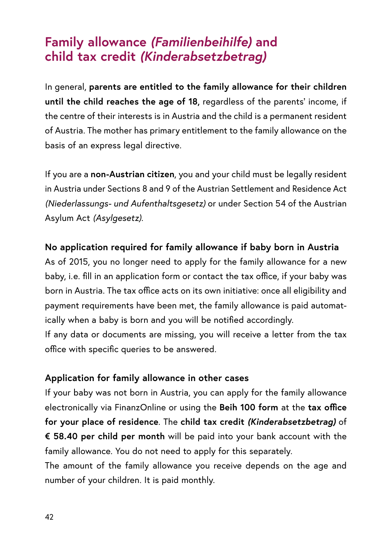# **Family allowance** *(Familienbeihilfe)* **and child tax credit** *(Kinderabsetzbetrag)*

In general, **parents are entitled to the family allowance for their children until the child reaches the age of 18,** regardless of the parents' income, if the centre of their interests is in Austria and the child is a permanent resident of Austria. The mother has primary entitlement to the family allowance on the basis of an express legal directive.

If you are a **non-Austrian citizen**, you and your child must be legally resident in Austria under Sections 8 and 9 of the Austrian Settlement and Residence Act *(Niederlassungs- und Aufenthaltsgesetz)* or under Section 54 of the Austrian Asylum Act *(Asylgesetz).*

#### **No application required for family allowance if baby born in Austria**

As of 2015, you no longer need to apply for the family allowance for a new baby, i.e. fill in an application form or contact the tax office, if your baby was born in Austria. The tax office acts on its own initiative: once all eligibility and payment requirements have been met, the family allowance is paid automatically when a baby is born and you will be notified accordingly.

If any data or documents are missing, you will receive a letter from the tax office with specific queries to be answered.

#### **Application for family allowance in other cases**

If your baby was not born in Austria, you can apply for the family allowance electronically via FinanzOnline or using the **Beih 100 form** at the **tax office for your place of residence**. The **child tax credit** *(Kinderabsetzbetrag)* of **€ 58.40 per child per month** will be paid into your bank account with the family allowance. You do not need to apply for this separately.

The amount of the family allowance you receive depends on the age and number of your children. It is paid monthly.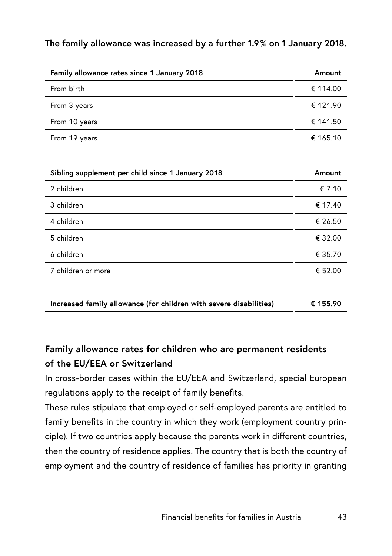#### **The family allowance was increased by a further 1.9 % on 1 January 2018.**

| Family allowance rates since 1 January 2018 | Amount   |
|---------------------------------------------|----------|
| From birth                                  | € 114.00 |
| From 3 years                                | € 121.90 |
| From 10 years                               | € 141.50 |
| From 19 years                               | € 165.10 |

| Sibling supplement per child since 1 January 2018 | Amount  |
|---------------------------------------------------|---------|
| 2 children                                        | € 7.10  |
| 3 children                                        | € 17.40 |
| 4 children                                        | € 26.50 |
| 5 children                                        | € 32.00 |
| 6 children                                        | € 35.70 |
| 7 children or more                                | € 52.00 |
|                                                   |         |

|  | Increased family allowance (for children with severe disabilities) | € 155.90 |
|--|--------------------------------------------------------------------|----------|
|--|--------------------------------------------------------------------|----------|

## **Family allowance rates for children who are permanent residents of the EU/EEA or Switzerland**

In cross-border cases within the EU/EEA and Switzerland, special European regulations apply to the receipt of family benefits.

These rules stipulate that employed or self-employed parents are entitled to family benefits in the country in which they work (employment country principle). If two countries apply because the parents work in different countries, then the country of residence applies. The country that is both the country of employment and the country of residence of families has priority in granting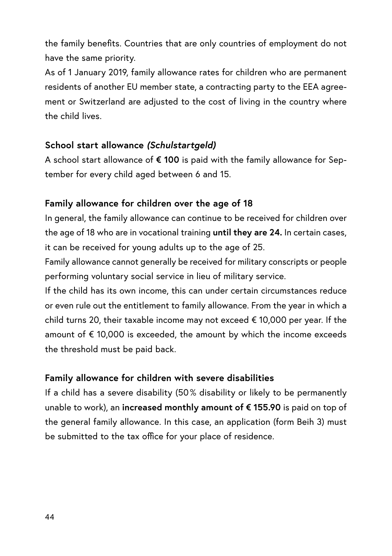the family benefits. Countries that are only countries of employment do not have the same priority.

As of 1 January 2019, family allowance rates for children who are permanent residents of another EU member state, a contracting party to the EEA agreement or Switzerland are adjusted to the cost of living in the country where the child lives.

#### **School start allowance** *(Schulstartgeld)*

A school start allowance of **€ 100** is paid with the family allowance for September for every child aged between 6 and 15.

#### **Family allowance for children over the age of 18**

In general, the family allowance can continue to be received for children over the age of 18 who are in vocational training **until they are 24.** In certain cases, it can be received for young adults up to the age of 25.

Family allowance cannot generally be received for military conscripts or people performing voluntary social service in lieu of military service.

If the child has its own income, this can under certain circumstances reduce or even rule out the entitlement to family allowance. From the year in which a child turns 20, their taxable income may not exceed € 10,000 per year. If the amount of  $\epsilon$  10,000 is exceeded, the amount by which the income exceeds the threshold must be paid back.

#### **Family allowance for children with severe disabilities**

If a child has a severe disability (50% disability or likely to be permanently unable to work), an **increased monthly amount of € 155.90** is paid on top of the general family allowance. In this case, an application (form Beih 3) must be submitted to the tax office for your place of residence.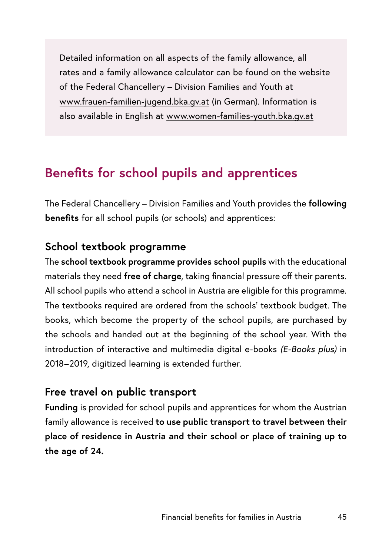Detailed information on all aspects of the family allowance, all rates and a family allowance calculator can be found on the website of the Federal Chancellery – Division Families and Youth at [www.frauen-familien-jugend.bka.gv.at](http://www.frauen-familien-jugend.bka.gv.at) (in German). Information is also available in English at [www.women-families-youth.bka.gv.at](http://www.women-families-youth.bka.gv.at)

# **Benefits for school pupils and apprentices**

The Federal Chancellery – Division Families and Youth provides the **following benefits** for all school pupils (or schools) and apprentices:

#### **School textbook programme**

The **school textbook programme provides school pupils** with the educational materials they need **free of charge**, taking financial pressure off their parents. All school pupils who attend a school in Austria are eligible for this programme. The textbooks required are ordered from the schools' textbook budget. The books, which become the property of the school pupils, are purchased by the schools and handed out at the beginning of the school year. With the introduction of interactive and multimedia digital e-books *(E-Books plus)* in 2018–2019, digitized learning is extended further.

#### **Free travel on public transport**

**Funding** is provided for school pupils and apprentices for whom the Austrian family allowance is received **to use public transport to travel between their place of residence in Austria and their school or place of training up to the age of 24.**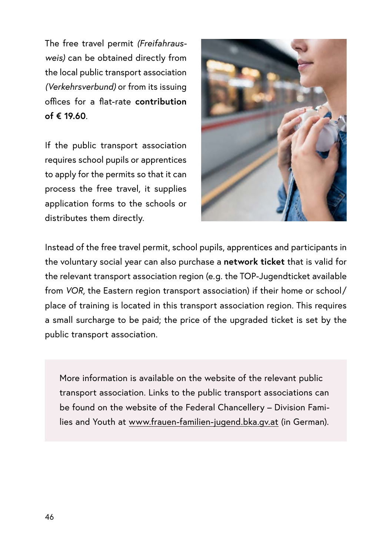The free travel permit *(Freifahrausweis)* can be obtained directly from the local public transport association *(Verkehrsverbund)* or from its issuing offices for a flat-rate **contribution of € 19.60**.

If the public transport association requires school pupils or apprentices to apply for the permits so that it can process the free travel, it supplies application forms to the schools or distributes them directly.



Instead of the free travel permit, school pupils, apprentices and participants in the voluntary social year can also purchase a **network ticket** that is valid for the relevant transport association region (e.g. the TOP-Jugendticket available from *VOR*, the Eastern region transport association) if their home or school/ place of training is located in this transport association region. This requires a small surcharge to be paid; the price of the upgraded ticket is set by the public transport association.

More information is available on the website of the relevant public transport association. Links to the public transport associations can be found on the website of the Federal Chancellery – Division Families and Youth at [www.frauen-familien-jugend.bka.gv.at](http://www.frauen-familien-jugend.bka.gv.at) (in German).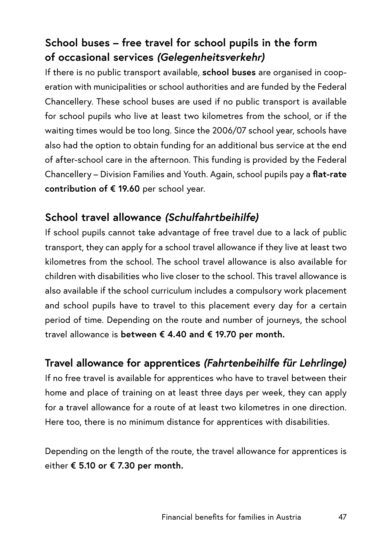# **School buses – free travel for school pupils in the form of occasional services** *(Gelegenheitsverkehr)*

If there is no public transport available, **school buses** are organised in cooperation with municipalities or school authorities and are funded by the Federal Chancellery. These school buses are used if no public transport is available for school pupils who live at least two kilometres from the school, or if the waiting times would be too long. Since the 2006/07 school year, schools have also had the option to obtain funding for an additional bus service at the end of after-school care in the afternoon. This funding is provided by the Federal Chancellery – Division Families and Youth. Again, school pupils pay a **flat-rate contribution of € 19.60** per school year.

# **School travel allowance** *(Schulfahrtbeihilfe)*

If school pupils cannot take advantage of free travel due to a lack of public transport, they can apply for a school travel allowance if they live at least two kilometres from the school. The school travel allowance is also available for children with disabilities who live closer to the school. This travel allowance is also available if the school curriculum includes a compulsory work placement and school pupils have to travel to this placement every day for a certain period of time. Depending on the route and number of journeys, the school travel allowance is **between € 4.40 and € 19.70 per month.**

# **Travel allowance for apprentices** *(Fahrtenbeihilfe für Lehrlinge)*

If no free travel is available for apprentices who have to travel between their home and place of training on at least three days per week, they can apply for a travel allowance for a route of at least two kilometres in one direction. Here too, there is no minimum distance for apprentices with disabilities.

Depending on the length of the route, the travel allowance for apprentices is either **€ 5.10 or € 7.30 per month.**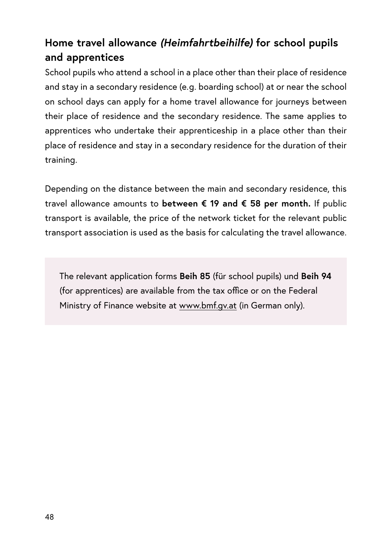# **Home travel allowance** *(Heimfahrtbeihilfe)* **for school pupils and apprentices**

School pupils who attend a school in a place other than their place of residence and stay in a secondary residence (e.g. boarding school) at or near the school on school days can apply for a home travel allowance for journeys between their place of residence and the secondary residence. The same applies to apprentices who undertake their apprenticeship in a place other than their place of residence and stay in a secondary residence for the duration of their training.

Depending on the distance between the main and secondary residence, this travel allowance amounts to **between € 19 and € 58 per month.** If public transport is available, the price of the network ticket for the relevant public transport association is used as the basis for calculating the travel allowance.

The relevant application forms **Beih 85** (für school pupils) und **Beih 94** (for apprentices) are available from the tax office or on the Federal Ministry of Finance website at [www.bmf.gv.at](http://www.bmf.gv.at) (in German only).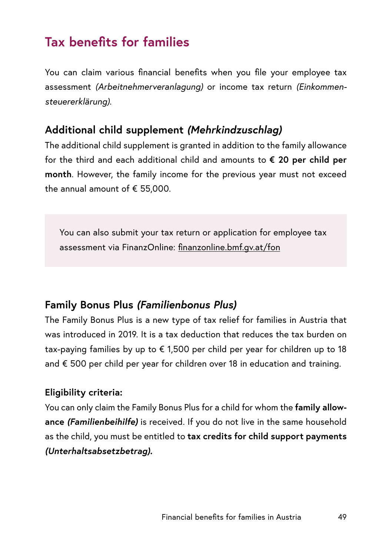# **Tax benefits for families**

You can claim various financial benefits when you file your employee tax assessment *(Arbeitnehmerveranlagung)* or income tax return *(Einkommensteuererklärung).*

## **Additional child supplement** *(Mehrkindzuschlag)*

The additional child supplement is granted in addition to the family allowance for the third and each additional child and amounts to **€ 20 per child per month**. However, the family income for the previous year must not exceed the annual amount of € 55,000.

You can also submit your tax return or application for employee tax assessment via FinanzOnline: [finanzonline.bmf.gv.at/fon](http://finanzonline.bmf.gv.at/fon)

## **Family Bonus Plus** *(Familienbonus Plus)*

The Family Bonus Plus is a new type of tax relief for families in Austria that was introduced in 2019. It is a tax deduction that reduces the tax burden on tax-paying families by up to € 1,500 per child per year for children up to 18 and € 500 per child per year for children over 18 in education and training.

#### **Eligibility criteria:**

You can only claim the Family Bonus Plus for a child for whom the **family allowance** *(Familienbeihilfe)* is received. If you do not live in the same household as the child, you must be entitled to **tax credits for child support payments**  *(Unterhaltsabsetzbetrag).*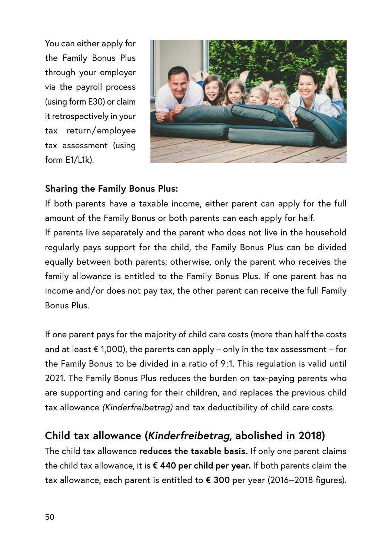You can either apply for the Family Bonus Plus through your employer via the payroll process (using form E30) or claim it retrospectively in your tax return/ employee tax assessment (using form E1/L1k).



#### **Sharing the Family Bonus Plus:**

If both parents have a taxable income, either parent can apply for the full amount of the Family Bonus or both parents can each apply for half. If parents live separately and the parent who does not live in the household regularly pays support for the child, the Family Bonus Plus can be divided equally between both parents; otherwise, only the parent who receives the family allowance is entitled to the Family Bonus Plus. If one parent has no income and/or does not pay tax, the other parent can receive the full Family Bonus Plus.

If one parent pays for the majority of child care costs (more than half the costs and at least  $\epsilon$  1,000), the parents can apply – only in the tax assessment – for the Family Bonus to be divided in a ratio of 9:1. This regulation is valid until 2021. The Family Bonus Plus reduces the burden on tax-paying parents who are supporting and caring for their children, and replaces the previous child tax allowance *(Kinderfreibetrag)* and tax deductibility of child care costs.

# **Child tax allowance (***Kinderfreibetrag,* **abolished in 2018)**

The child tax allowance **reduces the taxable basis.** If only one parent claims the child tax allowance, it is **€ 440 per child per year.** If both parents claim the tax allowance, each parent is entitled to **€ 300** per year (2016–2018 figures).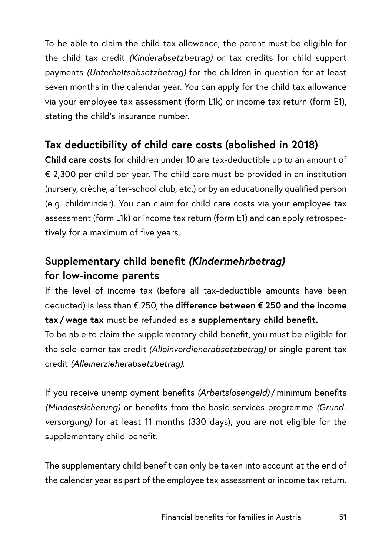To be able to claim the child tax allowance, the parent must be eligible for the child tax credit *(Kinderabsetzbetrag)* or tax credits for child support payments *(Unterhaltsabsetzbetrag)* for the children in question for at least seven months in the calendar year. You can apply for the child tax allowance via your employee tax assessment (form L1k) or income tax return (form E1), stating the child's insurance number.

# **Tax deductibility of child care costs (abolished in 2018)**

**Child care costs** for children under 10 are tax-deductible up to an amount of € 2,300 per child per year. The child care must be provided in an institution (nursery, crèche, after-school club, etc.) or by an educationally qualified person (e.g. childminder). You can claim for child care costs via your employee tax assessment (form L1k) or income tax return (form E1) and can apply retrospectively for a maximum of five years.

# **Supplementary child benefit** *(Kindermehrbetrag)* **for low-income parents**

If the level of income tax (before all tax-deductible amounts have been deducted) is less than € 250, the **difference between € 250 and the income tax /wage tax** must be refunded as a **supplementary child benefit.**

To be able to claim the supplementary child benefit, you must be eligible for the sole-earner tax credit *(Alleinverdienerabsetzbetrag)* or single-parent tax credit *(Alleinerzieherabsetzbetrag).*

If you receive unemployment benefits *(Arbeitslosengeld)* /minimum benefits *(Mindestsicherung)* or benefits from the basic services programme *(Grundversorgung)* for at least 11 months (330 days), you are not eligible for the supplementary child benefit.

The supplementary child benefit can only be taken into account at the end of the calendar year as part of the employee tax assessment or income tax return.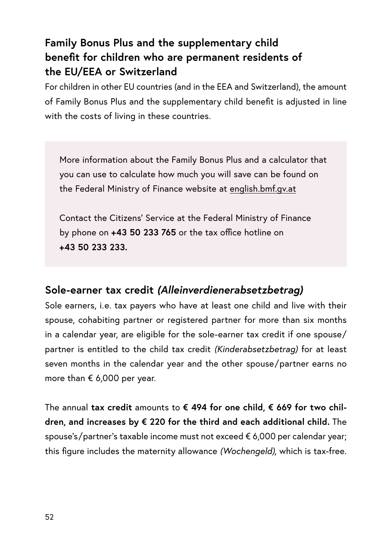# **Family Bonus Plus and the supplementary child benefit for children who are permanent residents of the EU/EEA or Switzerland**

For children in other EU countries (and in the EEA and Switzerland), the amount of Family Bonus Plus and the supplementary child benefit is adjusted in line with the costs of living in these countries.

More information about the Family Bonus Plus and a calculator that you can use to calculate how much you will save can be found on the Federal Ministry of Finance website at [english.bmf.gv.at](http://english.bmf.gv.at)

Contact the Citizens' Service at the Federal Ministry of Finance by phone on **+43 50 233 765** or the tax office hotline on **+43 50 233 233.**

#### **Sole-earner tax credit** *(Alleinverdienerabsetzbetrag)*

Sole earners, i.e. tax payers who have at least one child and live with their spouse, cohabiting partner or registered partner for more than six months in a calendar year, are eligible for the sole-earner tax credit if one spouse/ partner is entitled to the child tax credit *(Kinderabsetzbetrag)* for at least seven months in the calendar year and the other spouse/partner earns no more than € 6,000 per year.

The annual **tax credit** amounts to **€ 494 for one child, € 669 for two children, and increases by € 220 for the third and each additional child.** The spouse's/partner's taxable income must not exceed € 6,000 per calendar year; this figure includes the maternity allowance *(Wochengeld),* which is tax-free.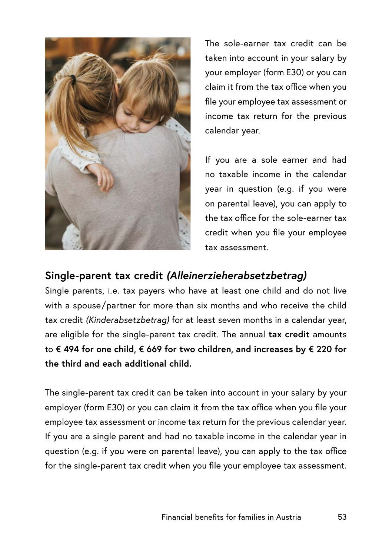

The sole-earner tax credit can be taken into account in your salary by your employer (form E30) or you can claim it from the tax office when you file your employee tax assessment or income tax return for the previous calendar year.

If you are a sole earner and had no taxable income in the calendar year in question (e.g. if you were on parental leave), you can apply to the tax office for the sole-earner tax credit when you file your employee tax assessment.

## **Single-parent tax credit** *(Alleinerzieherabsetzbetrag)*

Single parents, i.e. tax payers who have at least one child and do not live with a spouse/ partner for more than six months and who receive the child tax credit *(Kinderabsetzbetrag)* for at least seven months in a calendar year, are eligible for the single-parent tax credit. The annual **tax credit** amounts to **€ 494 for one child, € 669 for two children, and increases by € 220 for the third and each additional child.**

The single-parent tax credit can be taken into account in your salary by your employer (form E30) or you can claim it from the tax office when you file your employee tax assessment or income tax return for the previous calendar year. If you are a single parent and had no taxable income in the calendar year in question (e.g. if you were on parental leave), you can apply to the tax office for the single-parent tax credit when you file your employee tax assessment.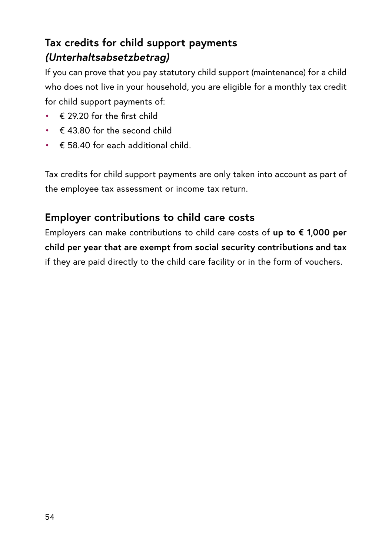# **Tax credits for child support payments**  *(Unterhaltsabsetzbetrag)*

If you can prove that you pay statutory child support (maintenance) for a child who does not live in your household, you are eligible for a monthly tax credit for child support payments of:

- $\epsilon$  29.20 for the first child
- $\cdot \in$  43.80 for the second child
- $\cdot \in$  58.40 for each additional child.

Tax credits for child support payments are only taken into account as part of the employee tax assessment or income tax return.

# **Employer contributions to child care costs**

Employers can make contributions to child care costs of **up to € 1,000 per child per year that are exempt from social security contributions and tax** if they are paid directly to the child care facility or in the form of vouchers.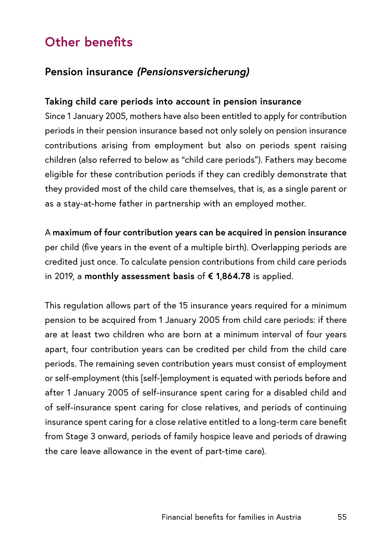# **Other benefits**

## **Pension insurance** *(Pensionsversicherung)*

#### **Taking child care periods into account in pension insurance**

Since 1 January 2005, mothers have also been entitled to apply for contribution periods in their pension insurance based not only solely on pension insurance contributions arising from employment but also on periods spent raising children (also referred to below as "child care periods"). Fathers may become eligible for these contribution periods if they can credibly demonstrate that they provided most of the child care themselves, that is, as a single parent or as a stay-at-home father in partnership with an employed mother.

A **maximum of four contribution years can be acquired in pension insurance**  per child (five years in the event of a multiple birth). Overlapping periods are credited just once. To calculate pension contributions from child care periods in 2019, a **monthly assessment basis** of **€ 1,864.78** is applied.

This regulation allows part of the 15 insurance years required for a minimum pension to be acquired from 1 January 2005 from child care periods: if there are at least two children who are born at a minimum interval of four years apart, four contribution years can be credited per child from the child care periods. The remaining seven contribution years must consist of employment or self-employment (this [self-]employment is equated with periods before and after 1 January 2005 of self-insurance spent caring for a disabled child and of self-insurance spent caring for close relatives, and periods of continuing insurance spent caring for a close relative entitled to a long-term care benefit from Stage 3 onward, periods of family hospice leave and periods of drawing the care leave allowance in the event of part-time care).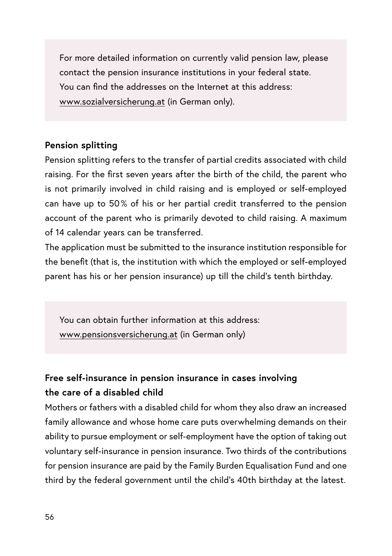For more detailed information on currently valid pension law, please contact the pension insurance institutions in your federal state. You can find the addresses on the Internet at this address: [www.sozialversicherung.at](http://www.sozialversicherung.at) (in German only).

#### **Pension splitting**

Pension splitting refers to the transfer of partial credits associated with child raising. For the first seven years after the birth of the child, the parent who is not primarily involved in child raising and is employed or self-employed can have up to 50 % of his or her partial credit transferred to the pension account of the parent who is primarily devoted to child raising. A maximum of 14 calendar years can be transferred.

The application must be submitted to the insurance institution responsible for the benefit (that is, the institution with which the employed or self-employed parent has his or her pension insurance) up till the child's tenth birthday.

You can obtain further information at this address: [www.pensionsversicherung.at](http://www.pensionsversicherung.at) (in German only)

## **Free self-insurance in pension insurance in cases involving the care of a disabled child**

Mothers or fathers with a disabled child for whom they also draw an increased family allowance and whose home care puts overwhelming demands on their ability to pursue employment or self-employment have the option of taking out voluntary self-insurance in pension insurance. Two thirds of the contributions for pension insurance are paid by the Family Burden Equalisation Fund and one third by the federal government until the child's 40th birthday at the latest.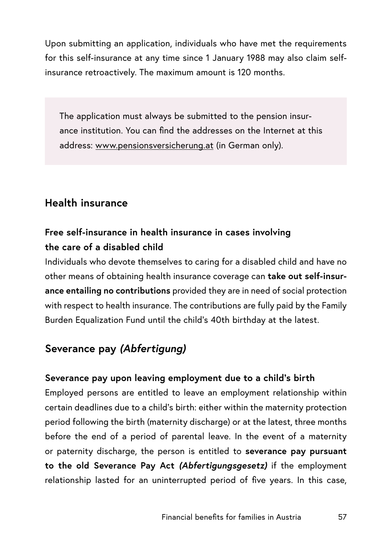Upon submitting an application, individuals who have met the requirements for this self-insurance at any time since 1 January 1988 may also claim selfinsurance retroactively. The maximum amount is 120 months.

The application must always be submitted to the pension insurance institution. You can find the addresses on the Internet at this address: [www.pensionsversicherung.at](http://www.pensionsversicherung.at) (in German only).

## **Health insurance**

## **Free self-insurance in health insurance in cases involving the care of a disabled child**

Individuals who devote themselves to caring for a disabled child and have no other means of obtaining health insurance coverage can **take out self-insurance entailing no contributions** provided they are in need of social protection with respect to health insurance. The contributions are fully paid by the Family Burden Equalization Fund until the child's 40th birthday at the latest.

# **Severance pay** *(Abfertigung)*

#### **Severance pay upon leaving employment due to a child's birth**

Employed persons are entitled to leave an employment relationship within certain deadlines due to a child's birth: either within the maternity protection period following the birth (maternity discharge) or at the latest, three months before the end of a period of parental leave. In the event of a maternity or paternity discharge, the person is entitled to **severance pay pursuant to the old Severance Pay Act** *(Abfertigungsgesetz)* if the employment relationship lasted for an uninterrupted period of five years. In this case,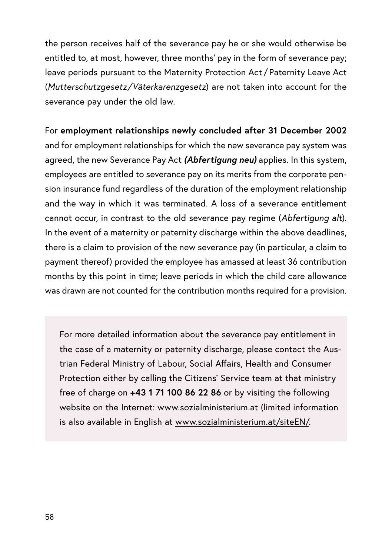the person receives half of the severance pay he or she would otherwise be entitled to, at most, however, three months' pay in the form of severance pay; leave periods pursuant to the Maternity Protection Act / Paternity Leave Act (*Mutterschutzgesetz/Väterkarenzgesetz*) are not taken into account for the severance pay under the old law.

For **employment relationships newly concluded after 31 December 2002** and for employment relationships for which the new severance pay system was agreed, the new Severance Pay Act *(Abfertigung neu)* applies. In this system, employees are entitled to severance pay on its merits from the corporate pension insurance fund regardless of the duration of the employment relationship and the way in which it was terminated. A loss of a severance entitlement cannot occur, in contrast to the old severance pay regime (*Abfertigung alt*). In the event of a maternity or paternity discharge within the above deadlines, there is a claim to provision of the new severance pay (in particular, a claim to payment thereof) provided the employee has amassed at least 36 contribution months by this point in time; leave periods in which the child care allowance was drawn are not counted for the contribution months required for a provision.

For more detailed information about the severance pay entitlement in the case of a maternity or paternity discharge, please contact the Austrian Federal Ministry of Labour, Social Affairs, Health and Consumer Protection either by calling the Citizens' Service team at that ministry free of charge on **+43 1 71 100 86 22 86** or by visiting the following website on the Internet: [www.sozialministerium.at](http://www.sozialministerium.at) (limited information is also available in English at [www.sozialministerium.at/siteEN/.](http://www.sozialministerium.at/siteEN/)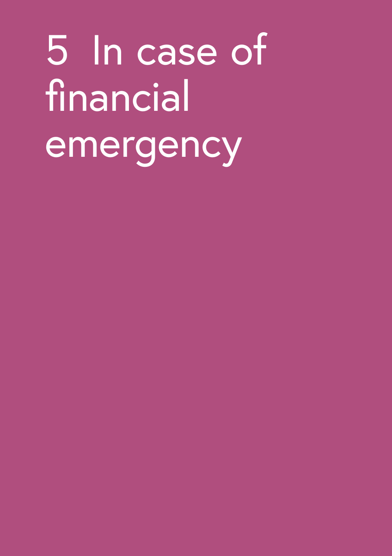5 In case of financial emergency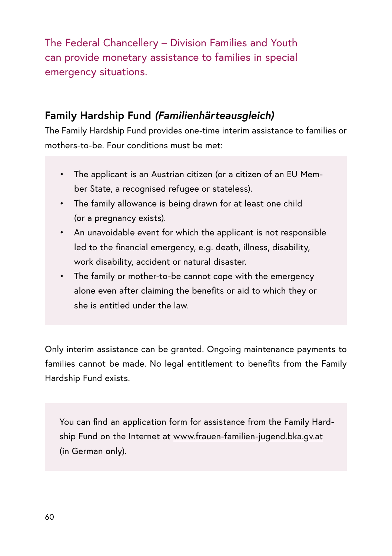The Federal Chancellery – Division Families and Youth can provide monetary assistance to families in special emergency situations.

## **Family Hardship Fund** *(Familienhärteausgleich)*

The Family Hardship Fund provides one-time interim assistance to families or mothers-to-be. Four conditions must be met:

- The applicant is an Austrian citizen (or a citizen of an EU Member State, a recognised refugee or stateless).
- The family allowance is being drawn for at least one child (or a pregnancy exists).
- An unavoidable event for which the applicant is not responsible led to the financial emergency, e.g. death, illness, disability, work disability, accident or natural disaster.
- The family or mother-to-be cannot cope with the emergency alone even after claiming the benefits or aid to which they or she is entitled under the law.

Only interim assistance can be granted. Ongoing maintenance payments to families cannot be made. No legal entitlement to benefits from the Family Hardship Fund exists.

You can find an application form for assistance from the Family Hardship Fund on the Internet at [www.frauen-familien-jugend.bka.gv.at](http://www.frauen-familien-jugend.bka.gv.at) (in German only).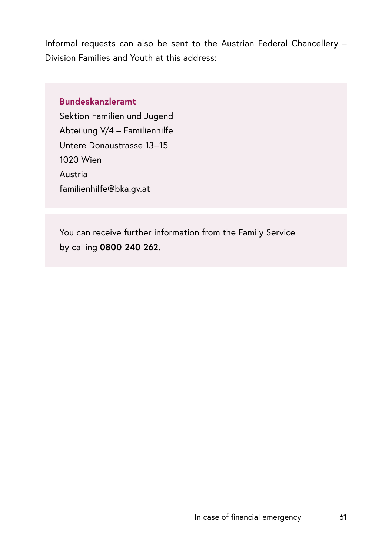Informal requests can also be sent to the Austrian Federal Chancellery – Division Families and Youth at this address:

#### **Bundeskanzleramt**

Sektion Familien und Jugend Abteilung V/4 – Familienhilfe Untere Donaustrasse 13–15 1020 Wien Austria [familienhilfe@bka.gv.at](mailto:familienhilfe@bka.gv.at)

You can receive further information from the Family Service by calling **0800 240 262**.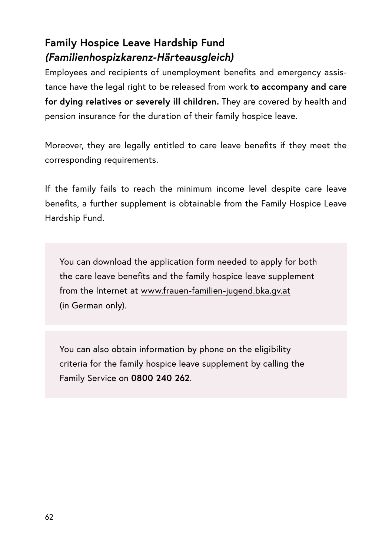# **Family Hospice Leave Hardship Fund**  *(Familienhospizkarenz-Härteausgleich)*

Employees and recipients of unemployment benefits and emergency assistance have the legal right to be released from work **to accompany and care for dying relatives or severely ill children.** They are covered by health and pension insurance for the duration of their family hospice leave.

Moreover, they are legally entitled to care leave benefits if they meet the corresponding requirements.

If the family fails to reach the minimum income level despite care leave benefits, a further supplement is obtainable from the Family Hospice Leave Hardship Fund.

You can download the application form needed to apply for both the care leave benefits and the family hospice leave supplement from the Internet at [www.frauen-familien-jugend.bka.gv.at](http://www.frauen-familien-jugend.bka.gv.at) (in German only).

You can also obtain information by phone on the eligibility criteria for the family hospice leave supplement by calling the Family Service on **0800 240 262**.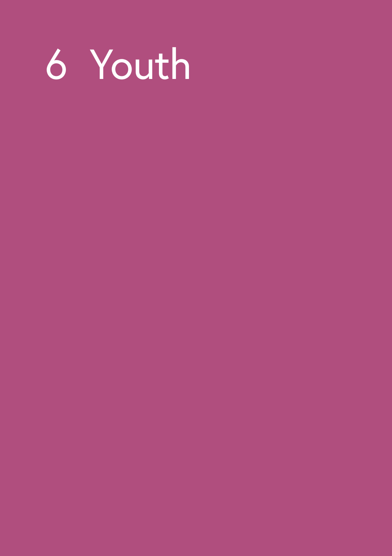# Youth

- -
- -
- 
- 
- 
- -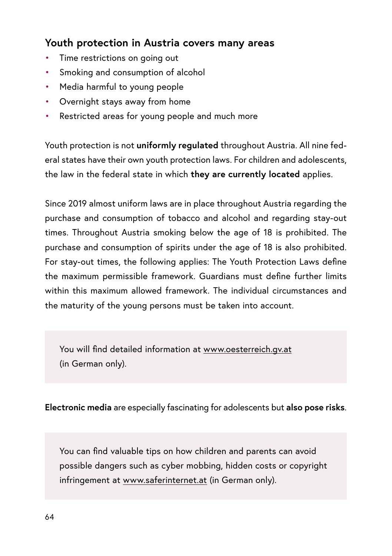## **Youth protection in Austria covers many areas**

- Time restrictions on going out
- Smoking and consumption of alcohol
- Media harmful to young people
- Overnight stays away from home
- Restricted areas for young people and much more

Youth protection is not **uniformly regulated** throughout Austria. All nine federal states have their own youth protection laws. For children and adolescents, the law in the federal state in which **they are currently located** applies.

Since 2019 almost uniform laws are in place throughout Austria regarding the purchase and consumption of tobacco and alcohol and regarding stay-out times. Throughout Austria smoking below the age of 18 is prohibited. The purchase and consumption of spirits under the age of 18 is also prohibited. For stay-out times, the following applies: The Youth Protection Laws define the maximum permissible framework. Guardians must define further limits within this maximum allowed framework. The individual circumstances and the maturity of the young persons must be taken into account.

You will find detailed information at [www.oesterreich.gv.at](http://www.oesterreich.gv.at) (in German only).

**Electronic media** are especially fascinating for adolescents but **also pose risks**.

You can find valuable tips on how children and parents can avoid possible dangers such as cyber mobbing, hidden costs or copyright infringement at [www.saferinternet.at](http://www.saferinternet.at) (in German only).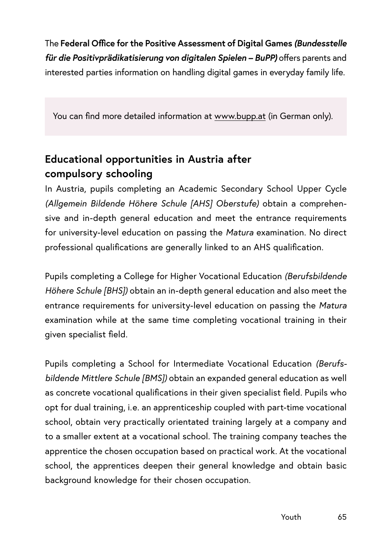The **Federal Office for the Positive Assessment of Digital Games** *(Bundesstelle für die Positivprädikatisierung von digitalen Spielen – BuPP)* offers parents and interested parties information on handling digital games in everyday family life.

You can find more detailed information at [www.bupp.at](http://www.bupp.at) (in German only).

# **Educational opportunities in Austria after compulsory schooling**

In Austria, pupils completing an Academic Secondary School Upper Cycle *(Allgemein Bildende Höhere Schule [AHS] Oberstufe)* obtain a comprehensive and in-depth general education and meet the entrance requirements for university-level education on passing the *Matura* examination. No direct professional qualifications are generally linked to an AHS qualification.

Pupils completing a College for Higher Vocational Education *(Berufsbildende Höhere Schule [BHS])* obtain an in-depth general education and also meet the entrance requirements for university-level education on passing the *Matura*  examination while at the same time completing vocational training in their given specialist field.

Pupils completing a School for Intermediate Vocational Education *(Berufsbildende Mittlere Schule [BMS])* obtain an expanded general education as well as concrete vocational qualifications in their given specialist field. Pupils who opt for dual training, i.e. an apprenticeship coupled with part-time vocational school, obtain very practically orientated training largely at a company and to a smaller extent at a vocational school. The training company teaches the apprentice the chosen occupation based on practical work. At the vocational school, the apprentices deepen their general knowledge and obtain basic background knowledge for their chosen occupation.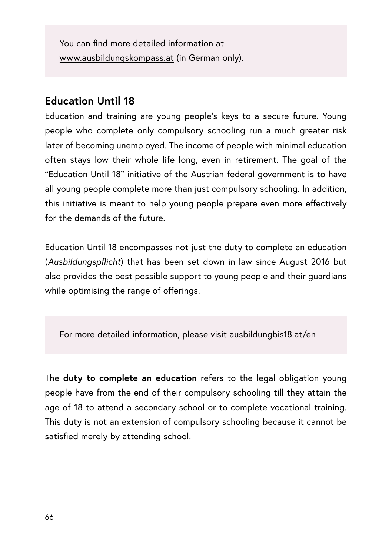You can find more detailed information at [www.ausbildungskompass.at](http://www.ausbildungskompass.at) (in German only).

### **Education Until 18**

Education and training are young people's keys to a secure future. Young people who complete only compulsory schooling run a much greater risk later of becoming unemployed. The income of people with minimal education often stays low their whole life long, even in retirement. The goal of the "Education Until 18" initiative of the Austrian federal government is to have all young people complete more than just compulsory schooling. In addition, this initiative is meant to help young people prepare even more effectively for the demands of the future.

Education Until 18 encompasses not just the duty to complete an education (*Ausbildungspflicht*) that has been set down in law since August 2016 but also provides the best possible support to young people and their guardians while optimising the range of offerings.

For more detailed information, please visit [ausbildungbis18.at/en](http://ausbildungbis18.at/en)

The **duty to complete an education** refers to the legal obligation young people have from the end of their compulsory schooling till they attain the age of 18 to attend a secondary school or to complete vocational training. This duty is not an extension of compulsory schooling because it cannot be satisfied merely by attending school.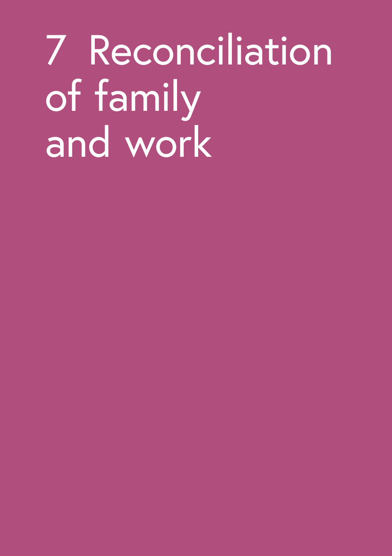# 7 Reconciliation of family and work

- - -
	- -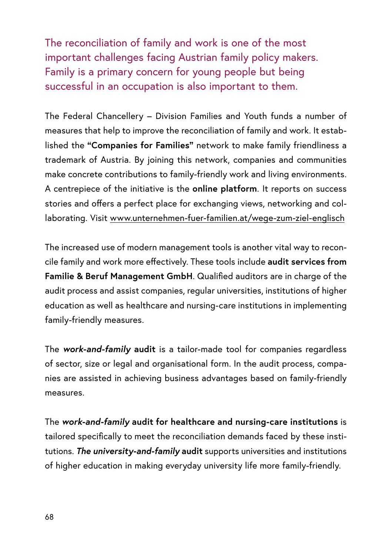The reconciliation of family and work is one of the most important challenges facing Austrian family policy makers. Family is a primary concern for young people but being successful in an occupation is also important to them.

The Federal Chancellery – Division Families and Youth funds a number of measures that help to improve the reconciliation of family and work. It established the **"Companies for Families"** network to make family friendliness a trademark of Austria. By joining this network, companies and communities make concrete contributions to family-friendly work and living environments. A centrepiece of the initiative is the **online platform**. It reports on success stories and offers a perfect place for exchanging views, networking and collaborating. Visit [www.unternehmen-fuer-familien.at/wege-zum-ziel-englisch](http://www.unternehmen-fuer-familien.at/wege-zum-ziel-englisch)

The increased use of modern management tools is another vital way to reconcile family and work more effectively. These tools include **audit services from Familie & Beruf Management GmbH**. Qualified auditors are in charge of the audit process and assist companies, regular universities, institutions of higher education as well as healthcare and nursing-care institutions in implementing family-friendly measures.

The *work-and-family* **audit** is a tailor-made tool for companies regardless of sector, size or legal and organisational form. In the audit process, companies are assisted in achieving business advantages based on family-friendly measures.

The *work-and-family* **audit for healthcare and nursing-care institutions** is tailored specifically to meet the reconciliation demands faced by these institutions. *The university-and-family* **audit** supports universities and institutions of higher education in making everyday university life more family-friendly.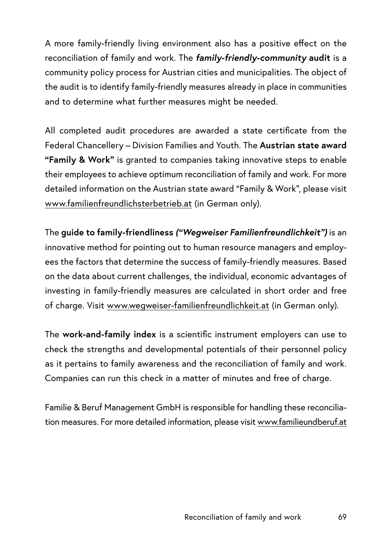A more family-friendly living environment also has a positive effect on the reconciliation of family and work. The *family-friendly-community* **audit** is a community policy process for Austrian cities and municipalities. The object of the audit is to identify family-friendly measures already in place in communities and to determine what further measures might be needed.

All completed audit procedures are awarded a state certificate from the Federal Chancellery – Division Families and Youth. The **Austrian state award "Family & Work"** is granted to companies taking innovative steps to enable their employees to achieve optimum reconciliation of family and work. For more detailed information on the Austrian state award "Family & Work", please visit www[.familienfreundlichsterbetrieb.at](http://familienfreundlichsterbetrieb.at) (in German only).

The **guide to family-friendliness** *("Wegweiser Familienfreundlichkeit")* is an innovative method for pointing out to human resource managers and employees the factors that determine the success of family-friendly measures. Based on the data about current challenges, the individual, economic advantages of investing in family-friendly measures are calculated in short order and free of charge. Visit [www.wegweiser-familienfreundlichkeit.at](http://www.wegweiser-familienfreundlichkeit.at) (in German only).

The **work-and-family index** is a scientific instrument employers can use to check the strengths and developmental potentials of their personnel policy as it pertains to family awareness and the reconciliation of family and work. Companies can run this check in a matter of minutes and free of charge.

Familie & Beruf Management GmbH is responsible for handling these reconciliation measures. For more detailed information, please visit [www.familieundberuf.at](http://www.familieundberuf.at)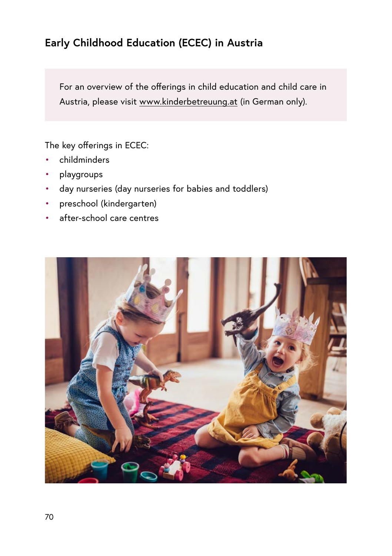# **Early Childhood Education (ECEC) in Austria**

For an overview of the offerings in child education and child care in Austria, please visit [www.kinderbetreuung.at](http://www.kinderbetreuung.at) (in German only).

The key offerings in ECEC:

- childminders
- playgroups
- day nurseries (day nurseries for babies and toddlers)
- preschool (kindergarten)
- after-school care centres

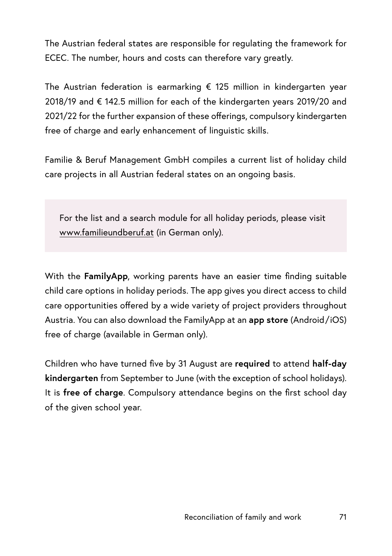The Austrian federal states are responsible for regulating the framework for ECEC. The number, hours and costs can therefore vary greatly.

The Austrian federation is earmarking € 125 million in kindergarten year 2018/19 and € 142.5 million for each of the kindergarten years 2019/20 and 2021/22 for the further expansion of these offerings, compulsory kindergarten free of charge and early enhancement of linguistic skills.

Familie & Beruf Management GmbH compiles a current list of holiday child care projects in all Austrian federal states on an ongoing basis.

For the list and a search module for all holiday periods, please visit [www.familieundberuf.at](http://www.familieundberuf.at) (in German only).

With the **FamilyApp**, working parents have an easier time finding suitable child care options in holiday periods. The app gives you direct access to child care opportunities offered by a wide variety of project providers throughout Austria. You can also download the FamilyApp at an **app store** (Android/iOS) free of charge (available in German only).

Children who have turned five by 31 August are **required** to attend **half-day kindergarten** from September to June (with the exception of school holidays). It is **free of charge**. Compulsory attendance begins on the first school day of the given school year.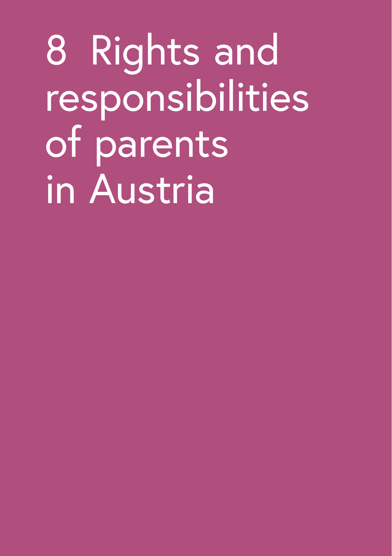8 Rights and responsibilities of parents in Austria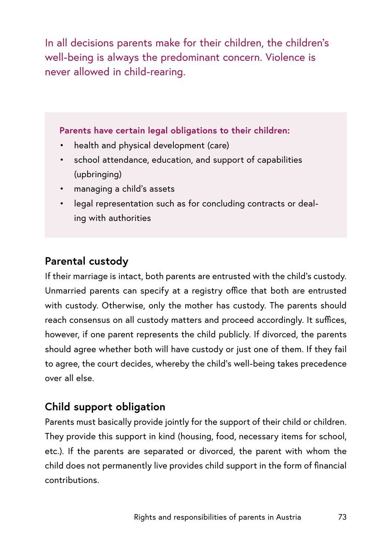In all decisions parents make for their children, the children's well-being is always the predominant concern. Violence is never allowed in child-rearing.

#### **Parents have certain legal obligations to their children:**

- health and physical development (care)
- school attendance, education, and support of capabilities (upbringing)
- managing a child's assets
- legal representation such as for concluding contracts or dealing with authorities

## **Parental custody**

If their marriage is intact, both parents are entrusted with the child's custody. Unmarried parents can specify at a registry office that both are entrusted with custody. Otherwise, only the mother has custody. The parents should reach consensus on all custody matters and proceed accordingly. It suffices, however, if one parent represents the child publicly. If divorced, the parents should agree whether both will have custody or just one of them. If they fail to agree, the court decides, whereby the child's well-being takes precedence over all else.

### **Child support obligation**

Parents must basically provide jointly for the support of their child or children. They provide this support in kind (housing, food, necessary items for school, etc.). If the parents are separated or divorced, the parent with whom the child does not permanently live provides child support in the form of financial contributions.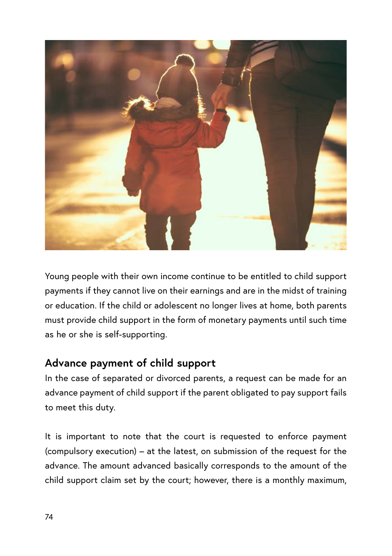

Young people with their own income continue to be entitled to child support payments if they cannot live on their earnings and are in the midst of training or education. If the child or adolescent no longer lives at home, both parents must provide child support in the form of monetary payments until such time as he or she is self-supporting.

## **Advance payment of child support**

In the case of separated or divorced parents, a request can be made for an advance payment of child support if the parent obligated to pay support fails to meet this duty.

It is important to note that the court is requested to enforce payment (compulsory execution) – at the latest, on submission of the request for the advance. The amount advanced basically corresponds to the amount of the child support claim set by the court; however, there is a monthly maximum,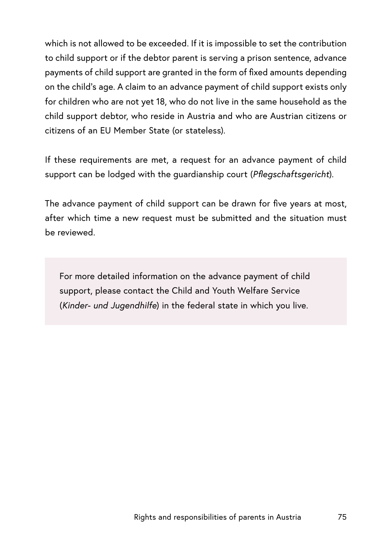which is not allowed to be exceeded. If it is impossible to set the contribution to child support or if the debtor parent is serving a prison sentence, advance payments of child support are granted in the form of fixed amounts depending on the child's age. A claim to an advance payment of child support exists only for children who are not yet 18, who do not live in the same household as the child support debtor, who reside in Austria and who are Austrian citizens or citizens of an EU Member State (or stateless).

If these requirements are met, a request for an advance payment of child support can be lodged with the guardianship court (*Pflegschaftsgericht*).

The advance payment of child support can be drawn for five years at most, after which time a new request must be submitted and the situation must be reviewed.

For more detailed information on the advance payment of child support, please contact the Child and Youth Welfare Service (*Kinder- und Jugendhilfe*) in the federal state in which you live.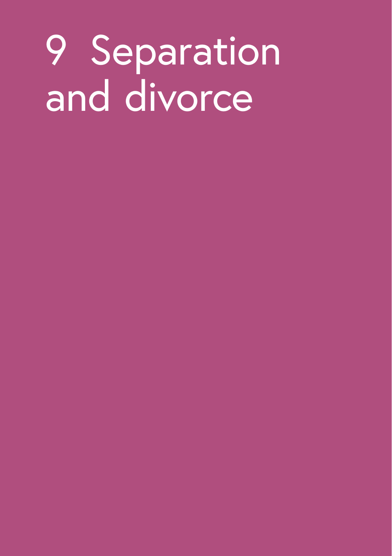# 9 Separation and divorce

- -
	-
- 
- 
-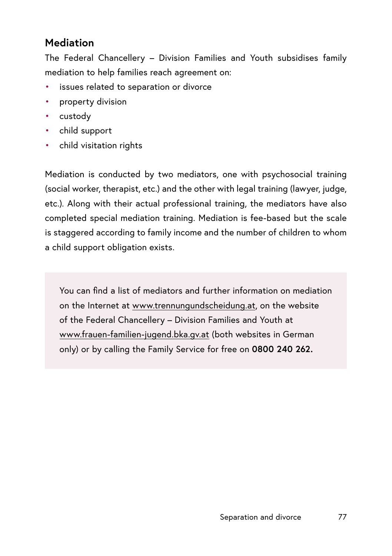## **Mediation**

The Federal Chancellery – Division Families and Youth subsidises family mediation to help families reach agreement on:

- issues related to separation or divorce
- property division
- custody
- child support
- child visitation rights

Mediation is conducted by two mediators, one with psychosocial training (social worker, therapist, etc.) and the other with legal training (lawyer, judge, etc.). Along with their actual professional training, the mediators have also completed special mediation training. Mediation is fee-based but the scale is staggered according to family income and the number of children to whom a child support obligation exists.

You can find a list of mediators and further information on mediation on the Internet at [www.trennungundscheidung.at,](http://www.trennungundscheidung.at) on the website of the Federal Chancellery – Division Families and Youth at [www.frauen-familien-jugend.bka.gv.at](http://www.frauen-familien-jugend.bka.gv.at) (both websites in German only) or by calling the Family Service for free on **0800 240 262.**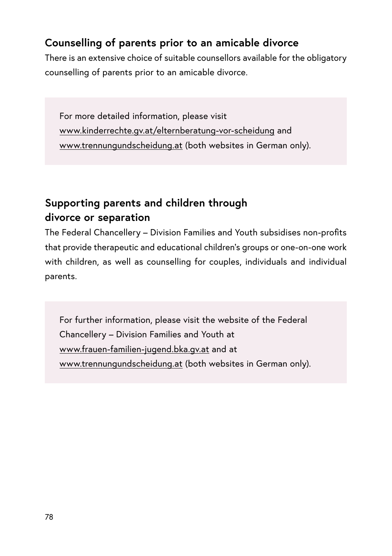## **Counselling of parents prior to an amicable divorce**

There is an extensive choice of suitable counsellors available for the obligatory counselling of parents prior to an amicable divorce.

For more detailed information, please visit www.kinderrechte.gv.at/elternberatung-vor-scheidung and [www.trennungundscheidung.at](http://www.trennungundscheidung.at) (both websites in German only).

## **Supporting parents and children through divorce or separation**

The Federal Chancellery – Division Families and Youth subsidises non-profits that provide therapeutic and educational children's groups or one-on-one work with children, as well as counselling for couples, individuals and individual parents.

For further information, please visit the website of the Federal Chancellery – Division Families and Youth at [www.frauen-familien-jugend.bka.gv.at](http://www.frauen-familien-jugend.bka.gv.at) and at [www.trennungundscheidung.at](http://www.trennungundscheidung.at) (both websites in German only).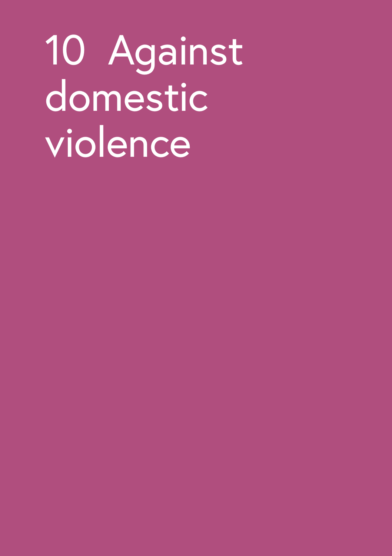# 10 Against domestic violence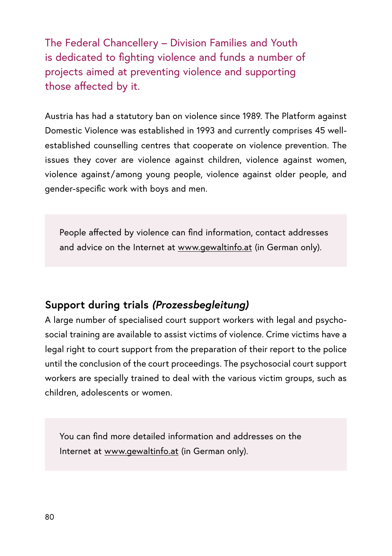The Federal Chancellery – Division Families and Youth is dedicated to fighting violence and funds a number of projects aimed at preventing violence and supporting those affected by it.

Austria has had a statutory ban on violence since 1989. The Platform against Domestic Violence was established in 1993 and currently comprises 45 wellestablished counselling centres that cooperate on violence prevention. The issues they cover are violence against children, violence against women, violence against/among young people, violence against older people, and gender-specific work with boys and men.

People affected by violence can find information, contact addresses and advice on the Internet at [www.gewaltinfo.at](http://www.gewaltinfo.at) (in German only).

## **Support during trials** *(Prozessbegleitung)*

A large number of specialised court support workers with legal and psychosocial training are available to assist victims of violence. Crime victims have a legal right to court support from the preparation of their report to the police until the conclusion of the court proceedings. The psychosocial court support workers are specially trained to deal with the various victim groups, such as children, adolescents or women.

You can find more detailed information and addresses on the Internet at [www.gewaltinfo.at](http://www.gewaltinfo.at) (in German only).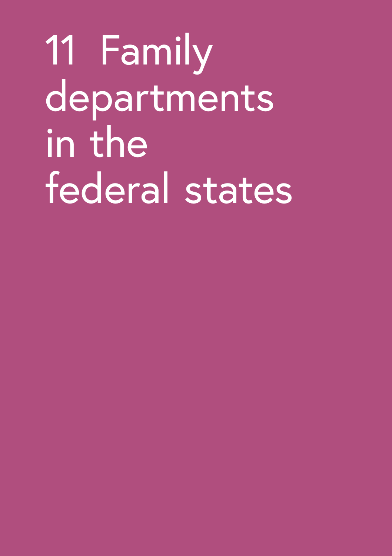11 Family departments in the federal states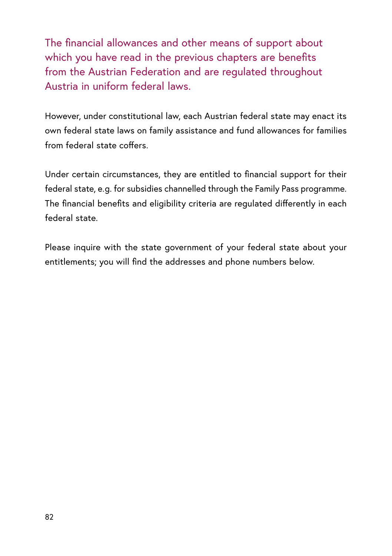The financial allowances and other means of support about which you have read in the previous chapters are benefits from the Austrian Federation and are regulated throughout Austria in uniform federal laws.

However, under constitutional law, each Austrian federal state may enact its own federal state laws on family assistance and fund allowances for families from federal state coffers.

Under certain circumstances, they are entitled to financial support for their federal state, e.g. for subsidies channelled through the Family Pass programme. The financial benefits and eligibility criteria are regulated differently in each federal state.

Please inquire with the state government of your federal state about your entitlements; you will find the addresses and phone numbers below.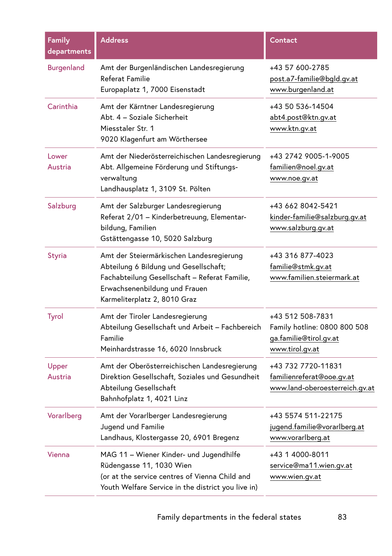| Family<br>departments | <b>Address</b>                                                                                                                                                                                      | Contact                                                                                       |
|-----------------------|-----------------------------------------------------------------------------------------------------------------------------------------------------------------------------------------------------|-----------------------------------------------------------------------------------------------|
| <b>Burgenland</b>     | Amt der Burgenländischen Landesregierung<br>Referat Familie<br>Europaplatz 1, 7000 Eisenstadt                                                                                                       | +43 57 600-2785<br>post.a7-familie@bgld.gv.at<br>www.burgenland.at                            |
| Carinthia             | Amt der Kärntner Landesregierung<br>Abt. 4 - Soziale Sicherheit<br>Miesstaler Str. 1<br>9020 Klagenfurt am Wörthersee                                                                               | +43 50 536-14504<br>abt4.post@ktn.gv.at<br>www.ktn.gv.at                                      |
| Lower<br>Austria      | Amt der Niederösterreichischen Landesregierung<br>Abt. Allgemeine Förderung und Stiftungs-<br>verwaltung<br>Landhausplatz 1, 3109 St. Pölten                                                        | +43 2742 9005-1-9005<br>familien@noel.gv.at<br>www.noe.gv.at                                  |
| Salzburg              | Amt der Salzburger Landesregierung<br>Referat 2/01 - Kinderbetreuung, Elementar-<br>bildung, Familien<br>Gstättengasse 10, 5020 Salzburg                                                            | +43 662 8042-5421<br>kinder-familie@salzburg.gv.at<br>www.salzburg.gv.at                      |
| <b>Styria</b>         | Amt der Steiermärkischen Landesregierung<br>Abteilung 6 Bildung und Gesellschaft;<br>Fachabteilung Gesellschaft - Referat Familie,<br>Erwachsenenbildung und Frauen<br>Karmeliterplatz 2, 8010 Graz | +43 316 877-4023<br>familie@stmk.gv.at<br>www.familien.steiermark.at                          |
| Tyrol                 | Amt der Tiroler Landesregierung<br>Abteilung Gesellschaft und Arbeit – Fachbereich<br>Familie<br>Meinhardstrasse 16, 6020 Innsbruck                                                                 | +43 512 508-7831<br>Family hotline: 0800 800 508<br>ga.familie@tirol.gv.at<br>www.tirol.gv.at |
| Upper<br>Austria      | Amt der Oberösterreichischen Landesregierung<br>Direktion Gesellschaft, Soziales und Gesundheit<br>Abteilung Gesellschaft<br>Bahnhofplatz 1, 4021 Linz                                              | +43 732 7720-11831<br>familienreferat@ooe.gv.at<br>www.land-oberoesterreich.gv.at             |
| Vorarlberg            | Amt der Vorarlberger Landesregierung<br>Jugend und Familie<br>Landhaus, Klostergasse 20, 6901 Bregenz                                                                                               | +43 5574 511-22175<br>jugend.familie@vorarlberg.at<br>www.vorarlberg.at                       |
| Vienna                | MAG 11 - Wiener Kinder- und Jugendhilfe<br>Rüdengasse 11, 1030 Wien<br>(or at the service centres of Vienna Child and<br>Youth Welfare Service in the district you live in)                         | +43 1 4000-8011<br>service@ma11.wien.gv.at<br>www.wien.gv.at                                  |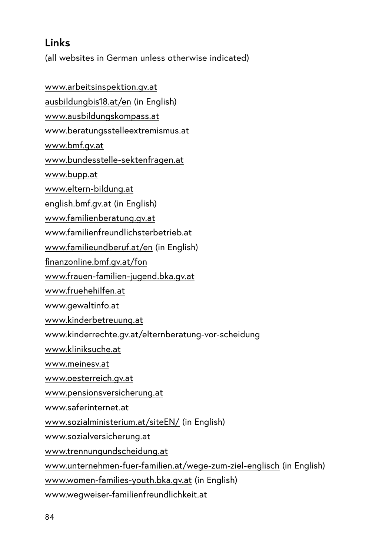## **Links**

(all websites in German unless otherwise indicated)

[www.arbeitsinspektion.gv.at](http://www.arbeitsinspektion.gv.at) [ausbildungbis18.at/en](http://ausbildungbis18.at/en) (in English) [www.ausbildungskompass.at](http://www.ausbildungskompass.at) [www.beratungsstelleextremismus.at](http://www.beratungsstelleextremismus.at) [www.bmf.gv.at](https://www.bmf.gv.at) [www.bundesstelle-sektenfragen.at](http://www.bundesstelle-sektenfragen.at) [www.bupp.at](http://www.bupp.at) [www.eltern-bildung.at](http://www.eltern-bildung.at) [english.bmf.gv.at](http://english.bmf.gv.at) (in English) [www.familienberatung.gv.at](http://www.familienberatung.gv.at) [www.familienfreundlichsterbetrieb.at](http://www.familienfreundlichsterbetrieb.at) [www.familieundberuf.at](http://www.familieundberuf.at/en)/en (in English) [finanzonline.bmf.gv.at/fon](http://finanzonline.bmf.gv.at/fon) [www.frauen-familien-jugend.bka.gv.at](http://www.frauen-familien-jugend.bka.gv.at) [www.fruehehilfen.at](http://www.fruehehilfen.at) [www.gewaltinfo.at](http://www.gewaltinfo.at) [www.kinderbetreuung.at](http://www.kinderbetreuung.at) [www.kinderrechte.gv.at/elternberatung-vor-scheidung](http://www.kinderrechte.gv.at/elternberatung-vor-scheidung) [www.kliniksuche.at](http://www.kliniksuche.at) [www.meinesv.at](http://www.meinesv.at) [www.oesterreich.gv.at](http://www.oesterreich.gv.at) [www.pensionsversicherung.at](http://www.pensionsversicherung.at) [www.saferinternet.at](http://www.saferinternet.at) [www.sozialministerium.at/siteEN/](http://www.sozialministerium.at/siteEN/) (in English) [www.sozialversicherung.at](http://www.sozialversicherung.at) [www.trennungundscheidung.at](http://www.trennungundscheidung.at) [www.unternehmen-fuer-familien.at/wege-zum-ziel-englisch](http://www.unternehmen-fuer-familien.at/wege-zum-ziel-englisch) (in English) [www.women-families-youth.bka.gv.at](http://www.women-families-youth.bka.gv.at) (in English) [www.wegweiser-familienfreundlichkeit.at](http://www.wegweiser-familienfreundlichkeit.at)